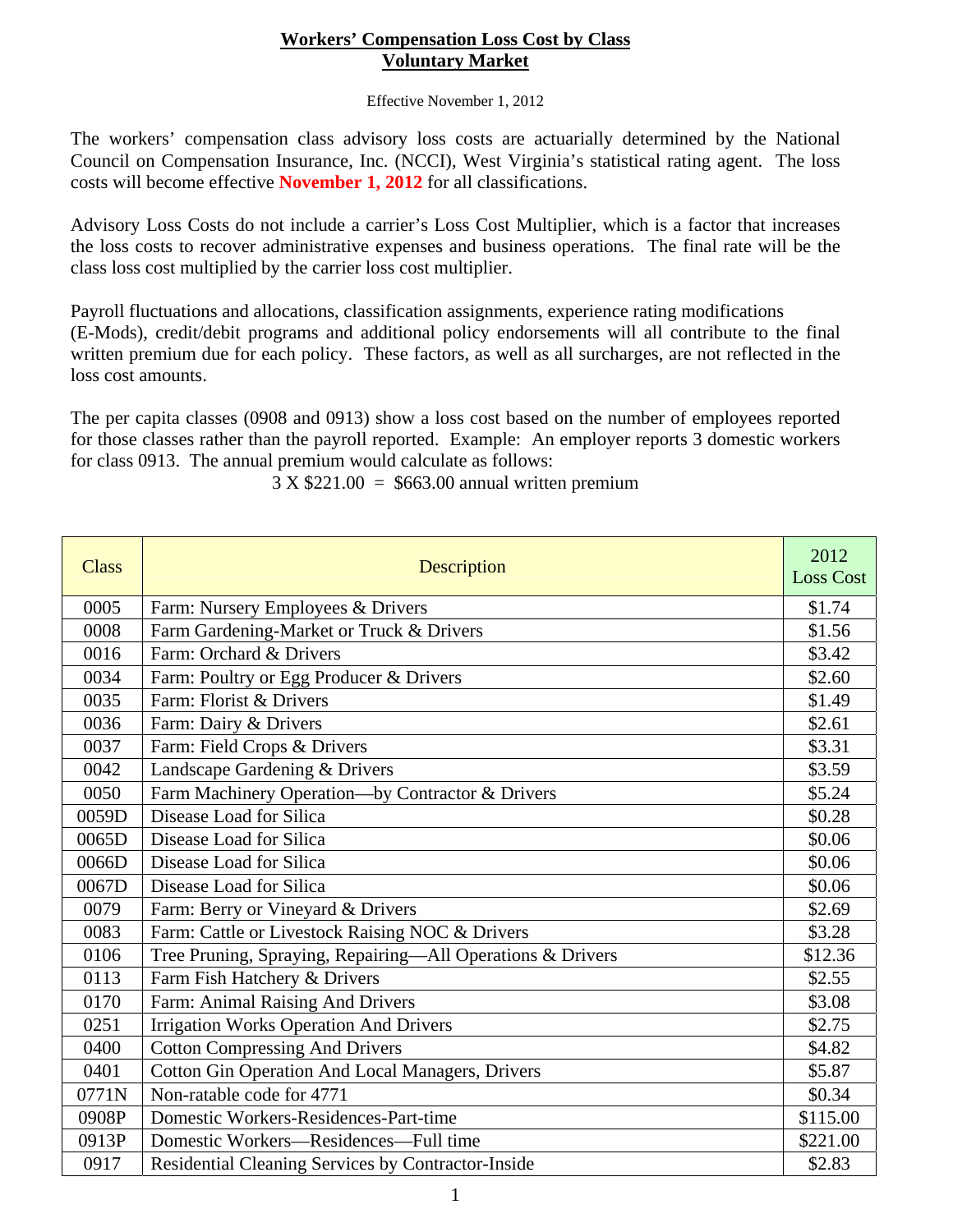## **Workers' Compensation Loss Cost by Class Voluntary Market**

Effective November 1, 2012

The workers' compensation class advisory loss costs are actuarially determined by the National Council on Compensation Insurance, Inc. (NCCI), West Virginia's statistical rating agent. The loss costs will become effective **November 1, 2012** for all classifications.

Advisory Loss Costs do not include a carrier's Loss Cost Multiplier, which is a factor that increases the loss costs to recover administrative expenses and business operations. The final rate will be the class loss cost multiplied by the carrier loss cost multiplier.

Payroll fluctuations and allocations, classification assignments, experience rating modifications (E-Mods), credit/debit programs and additional policy endorsements will all contribute to the final written premium due for each policy. These factors, as well as all surcharges, are not reflected in the loss cost amounts.

The per capita classes (0908 and 0913) show a loss cost based on the number of employees reported for those classes rather than the payroll reported. Example: An employer reports 3 domestic workers for class 0913. The annual premium would calculate as follows:

| <b>Class</b> | <b>Description</b>                                         | 2012<br><b>Loss Cost</b> |
|--------------|------------------------------------------------------------|--------------------------|
| 0005         | Farm: Nursery Employees & Drivers                          | \$1.74                   |
| 0008         | Farm Gardening-Market or Truck & Drivers                   | \$1.56                   |
| 0016         | Farm: Orchard & Drivers                                    | \$3.42                   |
| 0034         | Farm: Poultry or Egg Producer & Drivers                    | \$2.60                   |
| 0035         | Farm: Florist & Drivers                                    | \$1.49                   |
| 0036         | Farm: Dairy & Drivers                                      | \$2.61                   |
| 0037         | Farm: Field Crops & Drivers                                | \$3.31                   |
| 0042         | Landscape Gardening & Drivers                              | \$3.59                   |
| 0050         | Farm Machinery Operation-by Contractor & Drivers           | \$5.24                   |
| 0059D        | Disease Load for Silica                                    | \$0.28                   |
| 0065D        | Disease Load for Silica                                    | \$0.06                   |
| 0066D        | Disease Load for Silica                                    | \$0.06                   |
| 0067D        | Disease Load for Silica                                    | \$0.06                   |
| 0079         | Farm: Berry or Vineyard & Drivers                          | \$2.69                   |
| 0083         | Farm: Cattle or Livestock Raising NOC & Drivers            | \$3.28                   |
| 0106         | Tree Pruning, Spraying, Repairing-All Operations & Drivers | \$12.36                  |
| 0113         | Farm Fish Hatchery & Drivers                               | \$2.55                   |
| 0170         | Farm: Animal Raising And Drivers                           | \$3.08                   |
| 0251         | <b>Irrigation Works Operation And Drivers</b>              | \$2.75                   |
| 0400         | <b>Cotton Compressing And Drivers</b>                      | \$4.82                   |
| 0401         | <b>Cotton Gin Operation And Local Managers, Drivers</b>    | \$5.87                   |
| 0771N        | Non-ratable code for 4771                                  | \$0.34                   |
| 0908P        | Domestic Workers-Residences-Part-time                      | \$115.00                 |
| 0913P        | Domestic Workers-Residences-Full time                      | \$221.00                 |
| 0917         | Residential Cleaning Services by Contractor-Inside         | \$2.83                   |

 $3 X $221.00 = $663.00$  annual written premium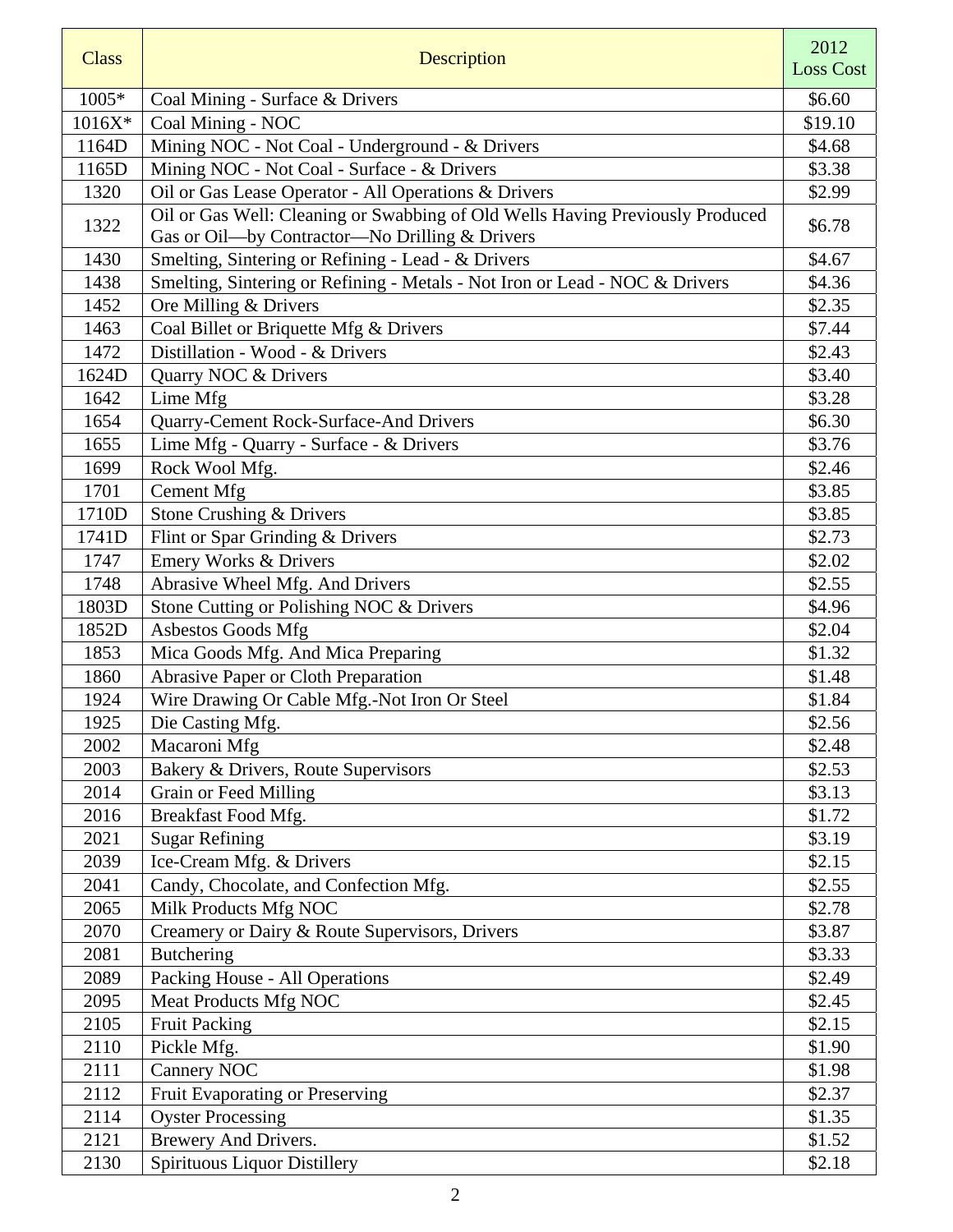| <b>Class</b> | Description                                                                                                                     | 2012             |
|--------------|---------------------------------------------------------------------------------------------------------------------------------|------------------|
|              |                                                                                                                                 | <b>Loss Cost</b> |
| 1005*        | Coal Mining - Surface & Drivers                                                                                                 | \$6.60           |
| $1016X*$     | Coal Mining - NOC                                                                                                               | \$19.10          |
| 1164D        | Mining NOC - Not Coal - Underground - & Drivers                                                                                 | \$4.68           |
| 1165D        | Mining NOC - Not Coal - Surface - & Drivers                                                                                     | \$3.38           |
| 1320         | Oil or Gas Lease Operator - All Operations & Drivers                                                                            | \$2.99           |
| 1322         | Oil or Gas Well: Cleaning or Swabbing of Old Wells Having Previously Produced<br>Gas or Oil-by Contractor-No Drilling & Drivers | \$6.78           |
| 1430         | Smelting, Sintering or Refining - Lead - & Drivers                                                                              | \$4.67           |
| 1438         | Smelting, Sintering or Refining - Metals - Not Iron or Lead - NOC & Drivers                                                     | \$4.36           |
| 1452         | Ore Milling & Drivers                                                                                                           | \$2.35           |
| 1463         | Coal Billet or Briquette Mfg & Drivers                                                                                          | \$7.44           |
| 1472         | Distillation - Wood - & Drivers                                                                                                 | \$2.43           |
| 1624D        | Quarry NOC & Drivers                                                                                                            | \$3.40           |
| 1642         | Lime Mfg                                                                                                                        | \$3.28           |
| 1654         | Quarry-Cement Rock-Surface-And Drivers                                                                                          | \$6.30           |
| 1655         | Lime Mfg - Quarry - Surface - & Drivers                                                                                         | \$3.76           |
| 1699         | Rock Wool Mfg.                                                                                                                  | \$2.46           |
| 1701         | <b>Cement Mfg</b>                                                                                                               | \$3.85           |
| 1710D        | Stone Crushing & Drivers                                                                                                        | \$3.85           |
| 1741D        | Flint or Spar Grinding & Drivers                                                                                                | \$2.73           |
| 1747         | <b>Emery Works &amp; Drivers</b>                                                                                                | \$2.02           |
| 1748         | Abrasive Wheel Mfg. And Drivers                                                                                                 | \$2.55           |
| 1803D        | Stone Cutting or Polishing NOC & Drivers                                                                                        | \$4.96           |
| 1852D        | Asbestos Goods Mfg                                                                                                              | \$2.04           |
| 1853         | Mica Goods Mfg. And Mica Preparing                                                                                              | \$1.32           |
| 1860         | Abrasive Paper or Cloth Preparation                                                                                             | \$1.48           |
| 1924         | Wire Drawing Or Cable Mfg.-Not Iron Or Steel                                                                                    | \$1.84           |
| 1925         | Die Casting Mfg.                                                                                                                | \$2.56           |
| 2002         | Macaroni Mfg                                                                                                                    | \$2.48           |
| 2003         | Bakery & Drivers, Route Supervisors                                                                                             | \$2.53           |
| 2014         | Grain or Feed Milling                                                                                                           | \$3.13           |
| 2016         | Breakfast Food Mfg.                                                                                                             | \$1.72           |
| 2021         | <b>Sugar Refining</b>                                                                                                           | \$3.19           |
| 2039         | Ice-Cream Mfg. & Drivers                                                                                                        | \$2.15           |
| 2041         | Candy, Chocolate, and Confection Mfg.                                                                                           | \$2.55           |
| 2065         | Milk Products Mfg NOC                                                                                                           | \$2.78           |
| 2070         | Creamery or Dairy & Route Supervisors, Drivers                                                                                  | \$3.87           |
| 2081         | <b>Butchering</b>                                                                                                               | \$3.33           |
| 2089         | Packing House - All Operations                                                                                                  | \$2.49           |
| 2095         | Meat Products Mfg NOC                                                                                                           | \$2.45           |
| 2105         | <b>Fruit Packing</b>                                                                                                            | \$2.15           |
| 2110         | Pickle Mfg.                                                                                                                     | \$1.90           |
| 2111         | Cannery NOC                                                                                                                     | \$1.98           |
| 2112         | Fruit Evaporating or Preserving                                                                                                 | \$2.37           |
| 2114         | <b>Oyster Processing</b>                                                                                                        | \$1.35           |
| 2121         | Brewery And Drivers.                                                                                                            | \$1.52           |
| 2130         | Spirituous Liquor Distillery                                                                                                    | \$2.18           |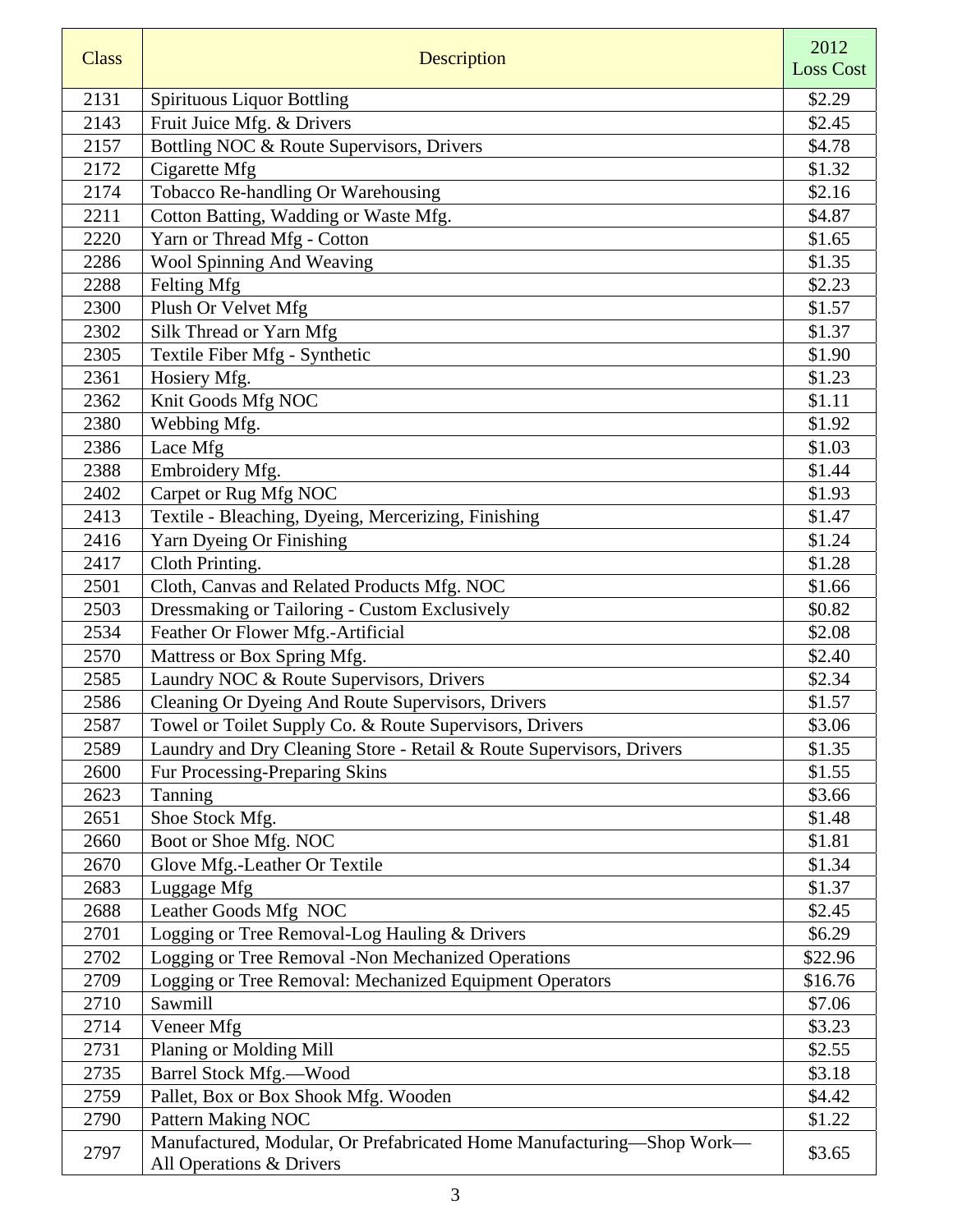| <b>Class</b> | Description                                                                                       | 2012             |
|--------------|---------------------------------------------------------------------------------------------------|------------------|
|              |                                                                                                   | <b>Loss Cost</b> |
| 2131         | <b>Spirituous Liquor Bottling</b>                                                                 | \$2.29           |
| 2143         | Fruit Juice Mfg. & Drivers                                                                        | \$2.45           |
| 2157         | Bottling NOC & Route Supervisors, Drivers                                                         | \$4.78           |
| 2172         | Cigarette Mfg                                                                                     | \$1.32           |
| 2174         | Tobacco Re-handling Or Warehousing                                                                | \$2.16           |
| 2211         | Cotton Batting, Wadding or Waste Mfg.                                                             | \$4.87           |
| 2220         | Yarn or Thread Mfg - Cotton                                                                       | \$1.65           |
| 2286         | Wool Spinning And Weaving                                                                         | \$1.35           |
| 2288         | Felting Mfg                                                                                       | \$2.23           |
| 2300         | Plush Or Velvet Mfg                                                                               | \$1.57           |
| 2302         | Silk Thread or Yarn Mfg                                                                           | \$1.37           |
| 2305         | Textile Fiber Mfg - Synthetic                                                                     | \$1.90           |
| 2361         | Hosiery Mfg.                                                                                      | \$1.23           |
| 2362         | Knit Goods Mfg NOC                                                                                | \$1.11           |
| 2380         | Webbing Mfg.                                                                                      | \$1.92           |
| 2386         | Lace Mfg                                                                                          | \$1.03           |
| 2388         | Embroidery Mfg.                                                                                   | \$1.44           |
| 2402         | Carpet or Rug Mfg NOC                                                                             | \$1.93           |
| 2413         | Textile - Bleaching, Dyeing, Mercerizing, Finishing                                               | \$1.47           |
| 2416         | Yarn Dyeing Or Finishing                                                                          | \$1.24           |
| 2417         | Cloth Printing.                                                                                   | \$1.28           |
| 2501         | Cloth, Canvas and Related Products Mfg. NOC                                                       | \$1.66           |
| 2503         | Dressmaking or Tailoring - Custom Exclusively                                                     | \$0.82           |
| 2534         | Feather Or Flower Mfg.-Artificial                                                                 | \$2.08           |
| 2570         | Mattress or Box Spring Mfg.                                                                       | \$2.40           |
| 2585         | Laundry NOC & Route Supervisors, Drivers                                                          | \$2.34           |
| 2586         | Cleaning Or Dyeing And Route Supervisors, Drivers                                                 | \$1.57           |
| 2587         | Towel or Toilet Supply Co. & Route Supervisors, Drivers                                           | \$3.06           |
| 2589         | Laundry and Dry Cleaning Store - Retail & Route Supervisors, Drivers                              | \$1.35           |
| 2600         | Fur Processing-Preparing Skins                                                                    | \$1.55           |
| 2623         | Tanning                                                                                           | \$3.66           |
| 2651         | Shoe Stock Mfg.                                                                                   | \$1.48           |
| 2660         | Boot or Shoe Mfg. NOC                                                                             | \$1.81           |
| 2670         | Glove Mfg.-Leather Or Textile                                                                     | \$1.34           |
| 2683         | Luggage Mfg                                                                                       | \$1.37           |
| 2688         | Leather Goods Mfg NOC                                                                             | \$2.45           |
| 2701         | Logging or Tree Removal-Log Hauling & Drivers                                                     | \$6.29           |
| 2702         | Logging or Tree Removal -Non Mechanized Operations                                                | \$22.96          |
| 2709         | Logging or Tree Removal: Mechanized Equipment Operators                                           | \$16.76          |
| 2710         | Sawmill                                                                                           | \$7.06           |
| 2714         | Veneer Mfg                                                                                        | \$3.23           |
| 2731         | Planing or Molding Mill                                                                           | \$2.55           |
| 2735         | Barrel Stock Mfg.-Wood                                                                            | \$3.18           |
| 2759         | Pallet, Box or Box Shook Mfg. Wooden                                                              | \$4.42           |
| 2790         | Pattern Making NOC                                                                                | \$1.22           |
| 2797         | Manufactured, Modular, Or Prefabricated Home Manufacturing-Shop Work-<br>All Operations & Drivers | \$3.65           |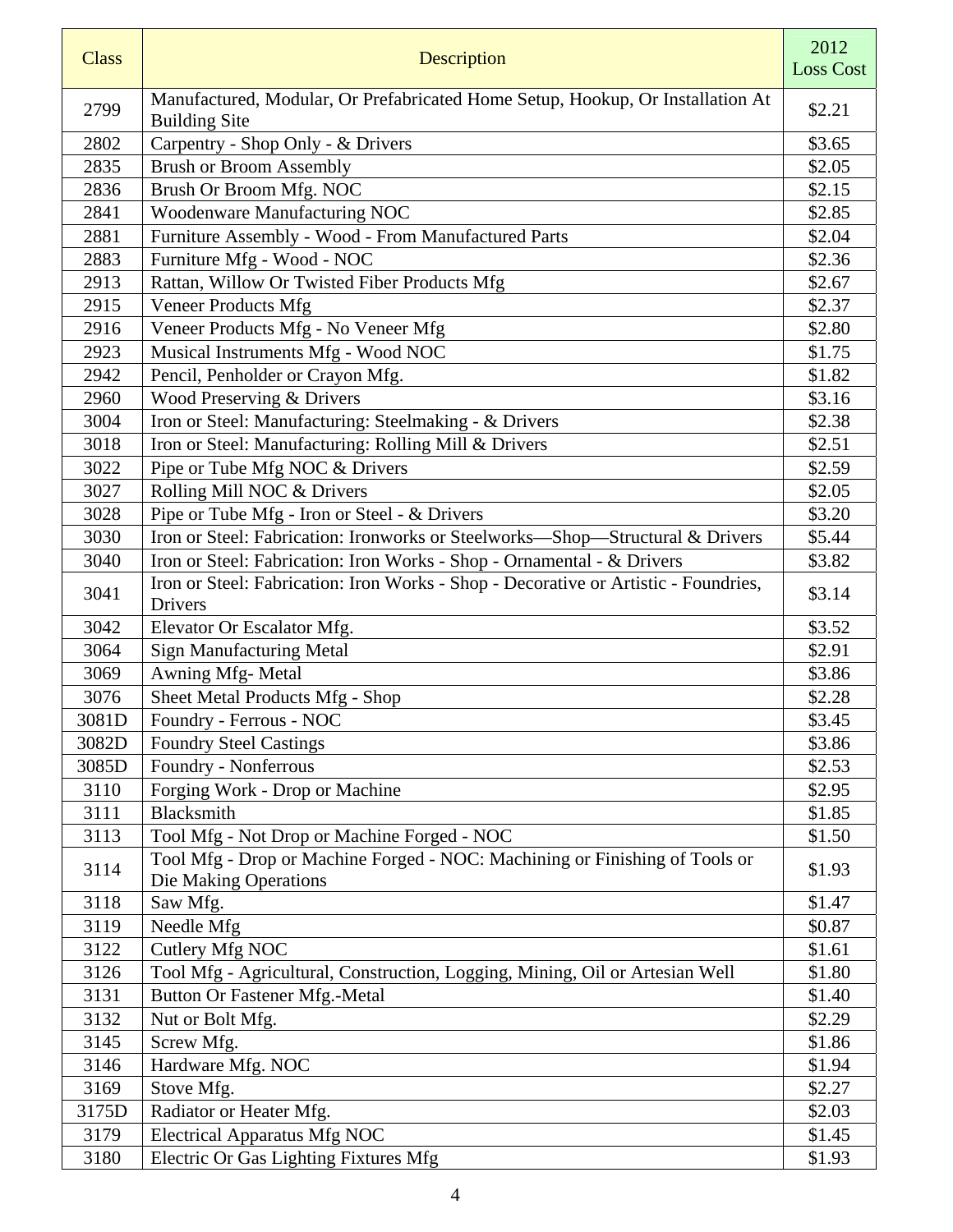| <b>Class</b> | Description                                                                                            | 2012<br><b>Loss Cost</b> |
|--------------|--------------------------------------------------------------------------------------------------------|--------------------------|
| 2799         | Manufactured, Modular, Or Prefabricated Home Setup, Hookup, Or Installation At<br><b>Building Site</b> | \$2.21                   |
| 2802         | Carpentry - Shop Only - & Drivers                                                                      | \$3.65                   |
| 2835         | <b>Brush or Broom Assembly</b>                                                                         | \$2.05                   |
| 2836         | Brush Or Broom Mfg. NOC                                                                                | \$2.15                   |
| 2841         | Woodenware Manufacturing NOC                                                                           | \$2.85                   |
| 2881         | Furniture Assembly - Wood - From Manufactured Parts                                                    | \$2.04                   |
| 2883         | Furniture Mfg - Wood - NOC                                                                             | \$2.36                   |
| 2913         | Rattan, Willow Or Twisted Fiber Products Mfg                                                           | \$2.67                   |
| 2915         | <b>Veneer Products Mfg</b>                                                                             | \$2.37                   |
| 2916         | Veneer Products Mfg - No Veneer Mfg                                                                    | \$2.80                   |
| 2923         | Musical Instruments Mfg - Wood NOC                                                                     | \$1.75                   |
| 2942         | Pencil, Penholder or Crayon Mfg.                                                                       | \$1.82                   |
| 2960         | Wood Preserving & Drivers                                                                              | \$3.16                   |
| 3004         | Iron or Steel: Manufacturing: Steelmaking - & Drivers                                                  | \$2.38                   |
| 3018         | Iron or Steel: Manufacturing: Rolling Mill & Drivers                                                   | \$2.51                   |
| 3022         | Pipe or Tube Mfg NOC & Drivers                                                                         | \$2.59                   |
| 3027         | Rolling Mill NOC & Drivers                                                                             | \$2.05                   |
| 3028         | Pipe or Tube Mfg - Iron or Steel - & Drivers                                                           | \$3.20                   |
| 3030         | Iron or Steel: Fabrication: Ironworks or Steelworks-Shop-Structural & Drivers                          | \$5.44                   |
| 3040         | Iron or Steel: Fabrication: Iron Works - Shop - Ornamental - & Drivers                                 | \$3.82                   |
| 3041         | Iron or Steel: Fabrication: Iron Works - Shop - Decorative or Artistic - Foundries,<br>Drivers         | \$3.14                   |
| 3042         | Elevator Or Escalator Mfg.                                                                             | \$3.52                   |
| 3064         | <b>Sign Manufacturing Metal</b>                                                                        | \$2.91                   |
| 3069         | Awning Mfg-Metal                                                                                       | \$3.86                   |
| 3076         | Sheet Metal Products Mfg - Shop                                                                        | \$2.28                   |
| 3081D        | Foundry - Ferrous - NOC                                                                                | \$3.45                   |
| 3082D        | Foundry Steel Castings                                                                                 | \$3.86                   |
| 3085D        | Foundry - Nonferrous                                                                                   | \$2.53                   |
| 3110         | Forging Work - Drop or Machine                                                                         | \$2.95                   |
| 3111         | Blacksmith                                                                                             | \$1.85                   |
| 3113         | Tool Mfg - Not Drop or Machine Forged - NOC                                                            | \$1.50                   |
| 3114         | Tool Mfg - Drop or Machine Forged - NOC: Machining or Finishing of Tools or<br>Die Making Operations   | \$1.93                   |
| 3118         | Saw Mfg.                                                                                               | \$1.47                   |
| 3119         | Needle Mfg                                                                                             | \$0.87                   |
| 3122         | Cutlery Mfg NOC                                                                                        | \$1.61                   |
| 3126         | Tool Mfg - Agricultural, Construction, Logging, Mining, Oil or Artesian Well                           | \$1.80                   |
| 3131         | <b>Button Or Fastener Mfg.-Metal</b>                                                                   | \$1.40                   |
| 3132         | Nut or Bolt Mfg.                                                                                       | \$2.29                   |
| 3145         | Screw Mfg.                                                                                             | \$1.86                   |
| 3146         | Hardware Mfg. NOC                                                                                      | \$1.94                   |
| 3169         | Stove Mfg.                                                                                             | \$2.27                   |
| 3175D        | Radiator or Heater Mfg.                                                                                | \$2.03                   |
| 3179         | <b>Electrical Apparatus Mfg NOC</b>                                                                    | \$1.45                   |
| 3180         | Electric Or Gas Lighting Fixtures Mfg                                                                  | \$1.93                   |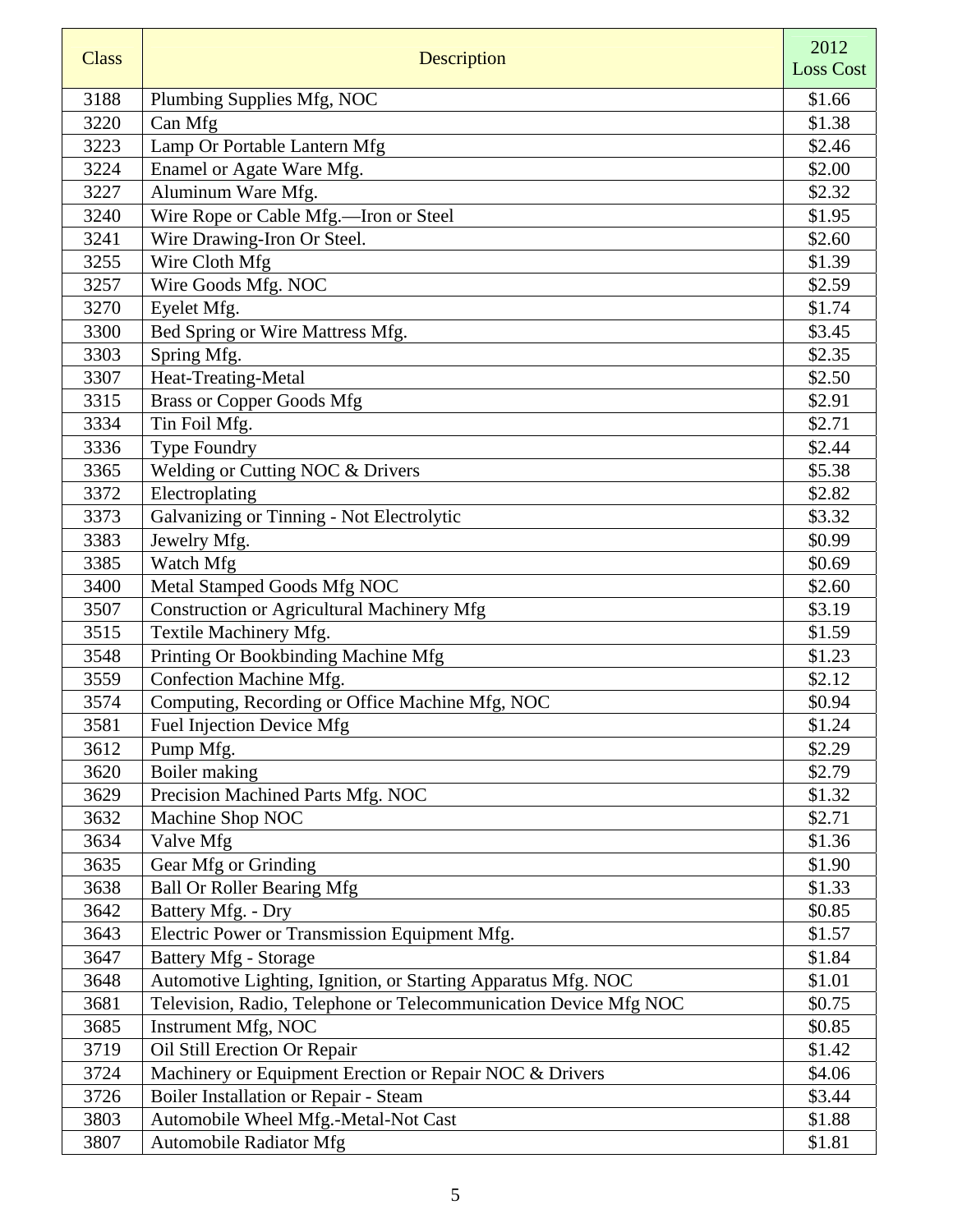| <b>Class</b> | Description                                                      | 2012<br><b>Loss Cost</b> |
|--------------|------------------------------------------------------------------|--------------------------|
| 3188         | Plumbing Supplies Mfg, NOC                                       | \$1.66                   |
| 3220         | Can Mfg                                                          | \$1.38                   |
| 3223         | Lamp Or Portable Lantern Mfg                                     | \$2.46                   |
| 3224         | Enamel or Agate Ware Mfg.                                        | \$2.00                   |
| 3227         | Aluminum Ware Mfg.                                               | \$2.32                   |
| 3240         | Wire Rope or Cable Mfg.-Iron or Steel                            | \$1.95                   |
| 3241         | Wire Drawing-Iron Or Steel.                                      | \$2.60                   |
| 3255         | Wire Cloth Mfg                                                   | \$1.39                   |
| 3257         | Wire Goods Mfg. NOC                                              | \$2.59                   |
| 3270         | Eyelet Mfg.                                                      | \$1.74                   |
| 3300         | Bed Spring or Wire Mattress Mfg.                                 | \$3.45                   |
| 3303         | Spring Mfg.                                                      | \$2.35                   |
| 3307         | Heat-Treating-Metal                                              | \$2.50                   |
| 3315         | <b>Brass or Copper Goods Mfg</b>                                 | \$2.91                   |
| 3334         | Tin Foil Mfg.                                                    | \$2.71                   |
| 3336         | Type Foundry                                                     | \$2.44                   |
| 3365         | Welding or Cutting NOC & Drivers                                 | \$5.38                   |
| 3372         | Electroplating                                                   | \$2.82                   |
| 3373         | Galvanizing or Tinning - Not Electrolytic                        | \$3.32                   |
| 3383         | Jewelry Mfg.                                                     | \$0.99                   |
| 3385         | Watch Mfg                                                        | \$0.69                   |
| 3400         | Metal Stamped Goods Mfg NOC                                      | \$2.60                   |
| 3507         | Construction or Agricultural Machinery Mfg                       | \$3.19                   |
| 3515         | Textile Machinery Mfg.                                           | \$1.59                   |
| 3548         | Printing Or Bookbinding Machine Mfg                              | \$1.23                   |
| 3559         | Confection Machine Mfg.                                          | \$2.12                   |
| 3574         | Computing, Recording or Office Machine Mfg, NOC                  | \$0.94                   |
| 3581         | Fuel Injection Device Mfg                                        | \$1.24                   |
| 3612         | Pump Mfg.                                                        | \$2.29                   |
| 3620         | Boiler making                                                    | \$2.79                   |
| 3629         | Precision Machined Parts Mfg. NOC                                | \$1.32                   |
| 3632         | Machine Shop NOC                                                 | \$2.71                   |
| 3634         | Valve Mfg                                                        | \$1.36                   |
| 3635         | Gear Mfg or Grinding                                             | \$1.90                   |
| 3638         | <b>Ball Or Roller Bearing Mfg</b>                                | \$1.33                   |
| 3642         | Battery Mfg. - Dry                                               | \$0.85                   |
| 3643         | Electric Power or Transmission Equipment Mfg.                    | \$1.57                   |
| 3647         | <b>Battery Mfg - Storage</b>                                     | \$1.84                   |
| 3648         | Automotive Lighting, Ignition, or Starting Apparatus Mfg. NOC    | \$1.01                   |
| 3681         | Television, Radio, Telephone or Telecommunication Device Mfg NOC | \$0.75                   |
| 3685         | Instrument Mfg, NOC                                              | \$0.85                   |
| 3719         | Oil Still Erection Or Repair                                     | \$1.42                   |
| 3724         | Machinery or Equipment Erection or Repair NOC & Drivers          | \$4.06                   |
| 3726         | Boiler Installation or Repair - Steam                            | \$3.44                   |
| 3803         | Automobile Wheel Mfg.-Metal-Not Cast                             | \$1.88                   |
| 3807         | <b>Automobile Radiator Mfg</b>                                   | \$1.81                   |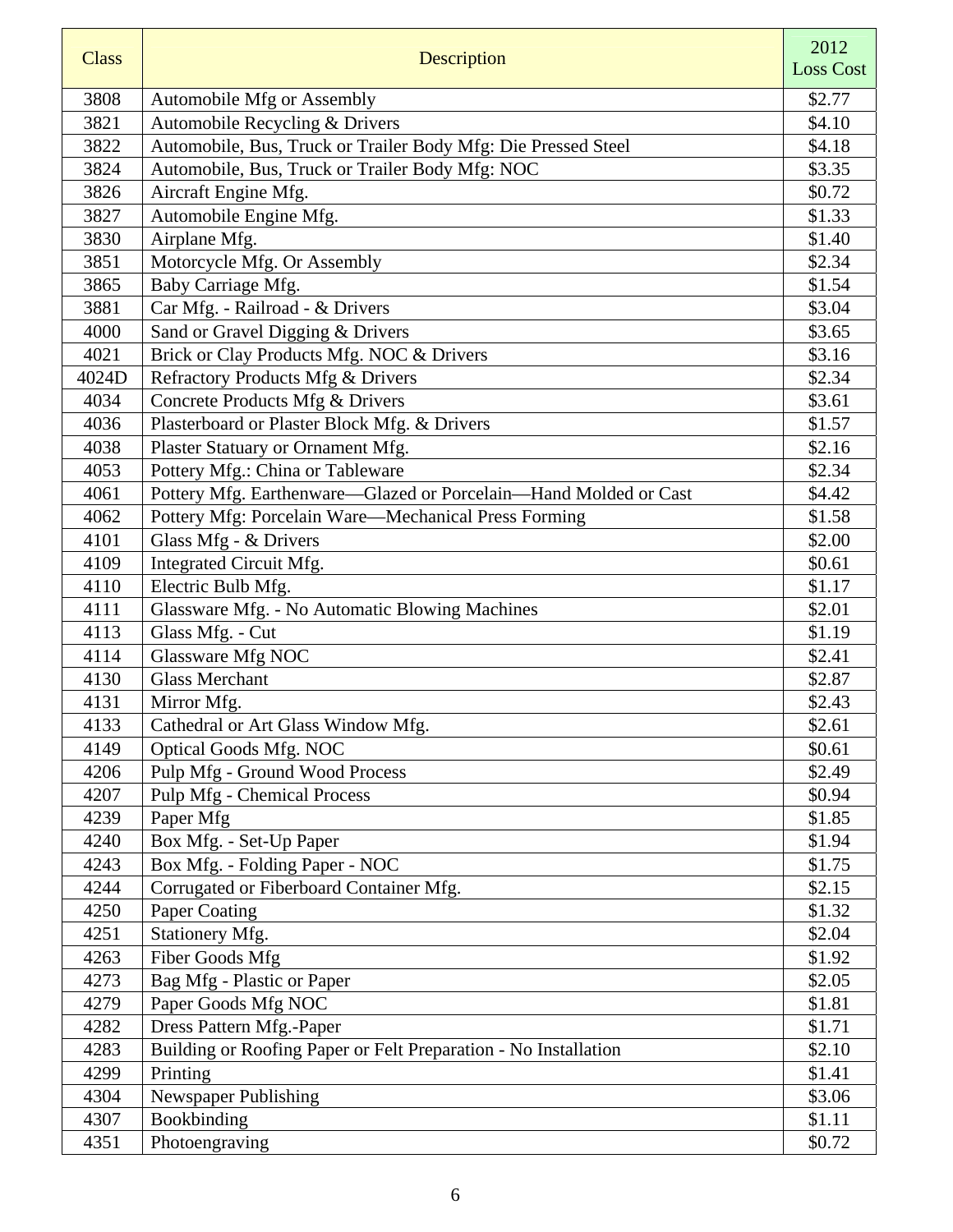| <b>Class</b> | Description                                                      | 2012<br><b>Loss Cost</b> |
|--------------|------------------------------------------------------------------|--------------------------|
|              |                                                                  |                          |
| 3808         | Automobile Mfg or Assembly                                       | \$2.77                   |
| 3821         | Automobile Recycling & Drivers                                   | \$4.10                   |
| 3822         | Automobile, Bus, Truck or Trailer Body Mfg: Die Pressed Steel    | \$4.18                   |
| 3824         | Automobile, Bus, Truck or Trailer Body Mfg: NOC                  | \$3.35                   |
| 3826         | Aircraft Engine Mfg.                                             | \$0.72                   |
| 3827         | Automobile Engine Mfg.                                           | \$1.33                   |
| 3830         | Airplane Mfg.                                                    | \$1.40                   |
| 3851         | Motorcycle Mfg. Or Assembly                                      | \$2.34                   |
| 3865         | Baby Carriage Mfg.                                               | \$1.54                   |
| 3881         | Car Mfg. - Railroad - & Drivers                                  | \$3.04                   |
| 4000         | Sand or Gravel Digging & Drivers                                 | \$3.65                   |
| 4021         | Brick or Clay Products Mfg. NOC & Drivers                        | \$3.16                   |
| 4024D        | Refractory Products Mfg & Drivers                                | \$2.34                   |
| 4034         | Concrete Products Mfg & Drivers                                  | \$3.61                   |
| 4036         | Plasterboard or Plaster Block Mfg. & Drivers                     | \$1.57                   |
| 4038         | Plaster Statuary or Ornament Mfg.                                | \$2.16                   |
| 4053         | Pottery Mfg.: China or Tableware                                 | \$2.34                   |
| 4061         | Pottery Mfg. Earthenware-Glazed or Porcelain-Hand Molded or Cast | \$4.42                   |
| 4062         | Pottery Mfg: Porcelain Ware-Mechanical Press Forming             | \$1.58                   |
| 4101         | Glass Mfg - & Drivers                                            | \$2.00                   |
| 4109         | Integrated Circuit Mfg.                                          | \$0.61                   |
| 4110         | Electric Bulb Mfg.                                               | \$1.17                   |
| 4111         | Glassware Mfg. - No Automatic Blowing Machines                   | \$2.01                   |
| 4113         | Glass Mfg. - Cut                                                 | \$1.19                   |
| 4114         | Glassware Mfg NOC                                                | \$2.41                   |
| 4130         | <b>Glass Merchant</b>                                            | \$2.87                   |
| 4131         | Mirror Mfg.                                                      | \$2.43                   |
| 4133         | Cathedral or Art Glass Window Mfg.                               | \$2.61                   |
| 4149         | <b>Optical Goods Mfg. NOC</b>                                    | \$0.61                   |
| 4206         | Pulp Mfg - Ground Wood Process                                   | \$2.49                   |
| 4207         | <b>Pulp Mfg - Chemical Process</b>                               | \$0.94                   |
| 4239         | Paper Mfg                                                        | \$1.85                   |
| 4240         | Box Mfg. - Set-Up Paper                                          | \$1.94                   |
| 4243         | Box Mfg. - Folding Paper - NOC                                   | \$1.75                   |
| 4244         | Corrugated or Fiberboard Container Mfg.                          | \$2.15                   |
| 4250         | Paper Coating                                                    | \$1.32                   |
| 4251         | Stationery Mfg.                                                  | \$2.04                   |
| 4263         | Fiber Goods Mfg                                                  | \$1.92                   |
| 4273         | Bag Mfg - Plastic or Paper                                       | \$2.05                   |
| 4279         | Paper Goods Mfg NOC                                              | \$1.81                   |
| 4282         | Dress Pattern Mfg.-Paper                                         | \$1.71                   |
| 4283         | Building or Roofing Paper or Felt Preparation - No Installation  | \$2.10                   |
| 4299         | Printing                                                         | \$1.41                   |
| 4304         | <b>Newspaper Publishing</b>                                      | \$3.06                   |
| 4307         | Bookbinding                                                      | \$1.11                   |
| 4351         | Photoengraving                                                   | \$0.72                   |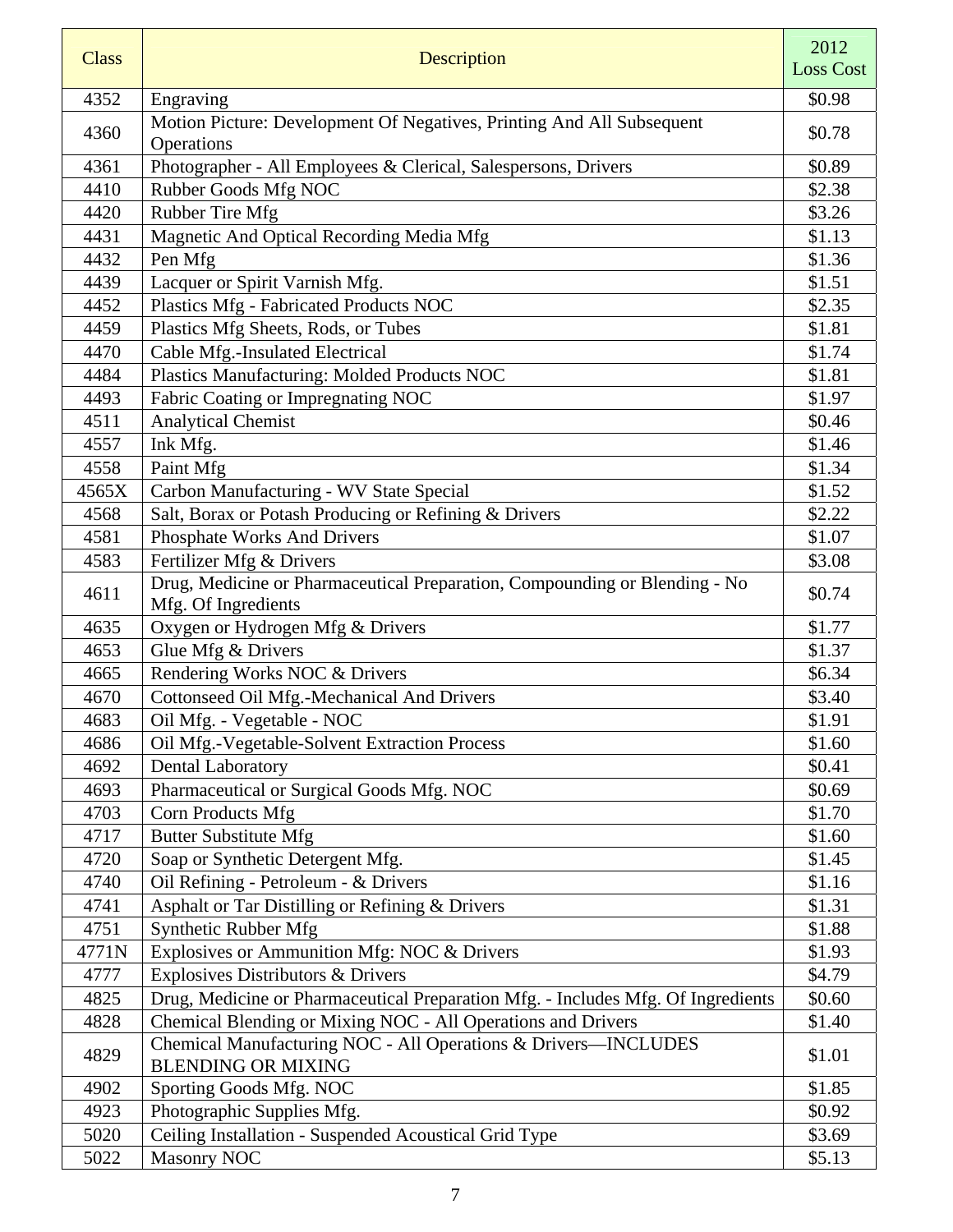| <b>Class</b> | <b>Description</b>                                                                                | 2012<br><b>Loss Cost</b> |
|--------------|---------------------------------------------------------------------------------------------------|--------------------------|
| 4352         | Engraving                                                                                         | \$0.98                   |
| 4360         | Motion Picture: Development Of Negatives, Printing And All Subsequent<br>Operations               | \$0.78                   |
| 4361         | Photographer - All Employees & Clerical, Salespersons, Drivers                                    | \$0.89                   |
| 4410         | Rubber Goods Mfg NOC                                                                              | \$2.38                   |
| 4420         | <b>Rubber Tire Mfg</b>                                                                            | \$3.26                   |
| 4431         | Magnetic And Optical Recording Media Mfg                                                          | \$1.13                   |
| 4432         | Pen Mfg                                                                                           | \$1.36                   |
| 4439         | Lacquer or Spirit Varnish Mfg.                                                                    | \$1.51                   |
| 4452         | Plastics Mfg - Fabricated Products NOC                                                            | \$2.35                   |
| 4459         | Plastics Mfg Sheets, Rods, or Tubes                                                               | \$1.81                   |
| 4470         | Cable Mfg.-Insulated Electrical                                                                   | \$1.74                   |
| 4484         | Plastics Manufacturing: Molded Products NOC                                                       | \$1.81                   |
| 4493         | Fabric Coating or Impregnating NOC                                                                | \$1.97                   |
| 4511         | <b>Analytical Chemist</b>                                                                         | \$0.46                   |
| 4557         | Ink Mfg.                                                                                          | \$1.46                   |
| 4558         | Paint Mfg                                                                                         | \$1.34                   |
| 4565X        | Carbon Manufacturing - WV State Special                                                           | \$1.52                   |
| 4568         | Salt, Borax or Potash Producing or Refining & Drivers                                             | \$2.22                   |
| 4581         | Phosphate Works And Drivers                                                                       | \$1.07                   |
| 4583         | Fertilizer Mfg & Drivers                                                                          | \$3.08                   |
| 4611         | Drug, Medicine or Pharmaceutical Preparation, Compounding or Blending - No<br>Mfg. Of Ingredients | \$0.74                   |
| 4635         | Oxygen or Hydrogen Mfg & Drivers                                                                  | \$1.77                   |
| 4653         | Glue Mfg & Drivers                                                                                | \$1.37                   |
| 4665         | Rendering Works NOC & Drivers                                                                     | \$6.34                   |
| 4670         | Cottonseed Oil Mfg.-Mechanical And Drivers                                                        | \$3.40                   |
| 4683         | Oil Mfg. - Vegetable - NOC                                                                        | \$1.91                   |
| 4686         | Oil Mfg.-Vegetable-Solvent Extraction Process                                                     | \$1.60                   |
| 4692         | <b>Dental Laboratory</b>                                                                          | \$0.41                   |
| 4693         | Pharmaceutical or Surgical Goods Mfg. NOC                                                         | \$0.69                   |
| 4703         | Corn Products Mfg                                                                                 | \$1.70                   |
| 4717         | <b>Butter Substitute Mfg</b>                                                                      | \$1.60                   |
| 4720         | Soap or Synthetic Detergent Mfg.                                                                  | \$1.45                   |
| 4740         | Oil Refining - Petroleum - & Drivers                                                              | \$1.16                   |
| 4741         | Asphalt or Tar Distilling or Refining & Drivers                                                   | \$1.31                   |
| 4751         | Synthetic Rubber Mfg                                                                              | \$1.88                   |
| 4771N        | Explosives or Ammunition Mfg: NOC & Drivers                                                       | \$1.93                   |
| 4777         | Explosives Distributors & Drivers                                                                 | \$4.79                   |
| 4825         | Drug, Medicine or Pharmaceutical Preparation Mfg. - Includes Mfg. Of Ingredients                  | \$0.60                   |
| 4828         | Chemical Blending or Mixing NOC - All Operations and Drivers                                      | \$1.40                   |
| 4829         | Chemical Manufacturing NOC - All Operations & Drivers-INCLUDES<br><b>BLENDING OR MIXING</b>       | \$1.01                   |
| 4902         | Sporting Goods Mfg. NOC                                                                           | \$1.85                   |
| 4923         | Photographic Supplies Mfg.                                                                        | \$0.92                   |
| 5020         | Ceiling Installation - Suspended Acoustical Grid Type                                             | \$3.69                   |
| 5022         | <b>Masonry NOC</b>                                                                                | \$5.13                   |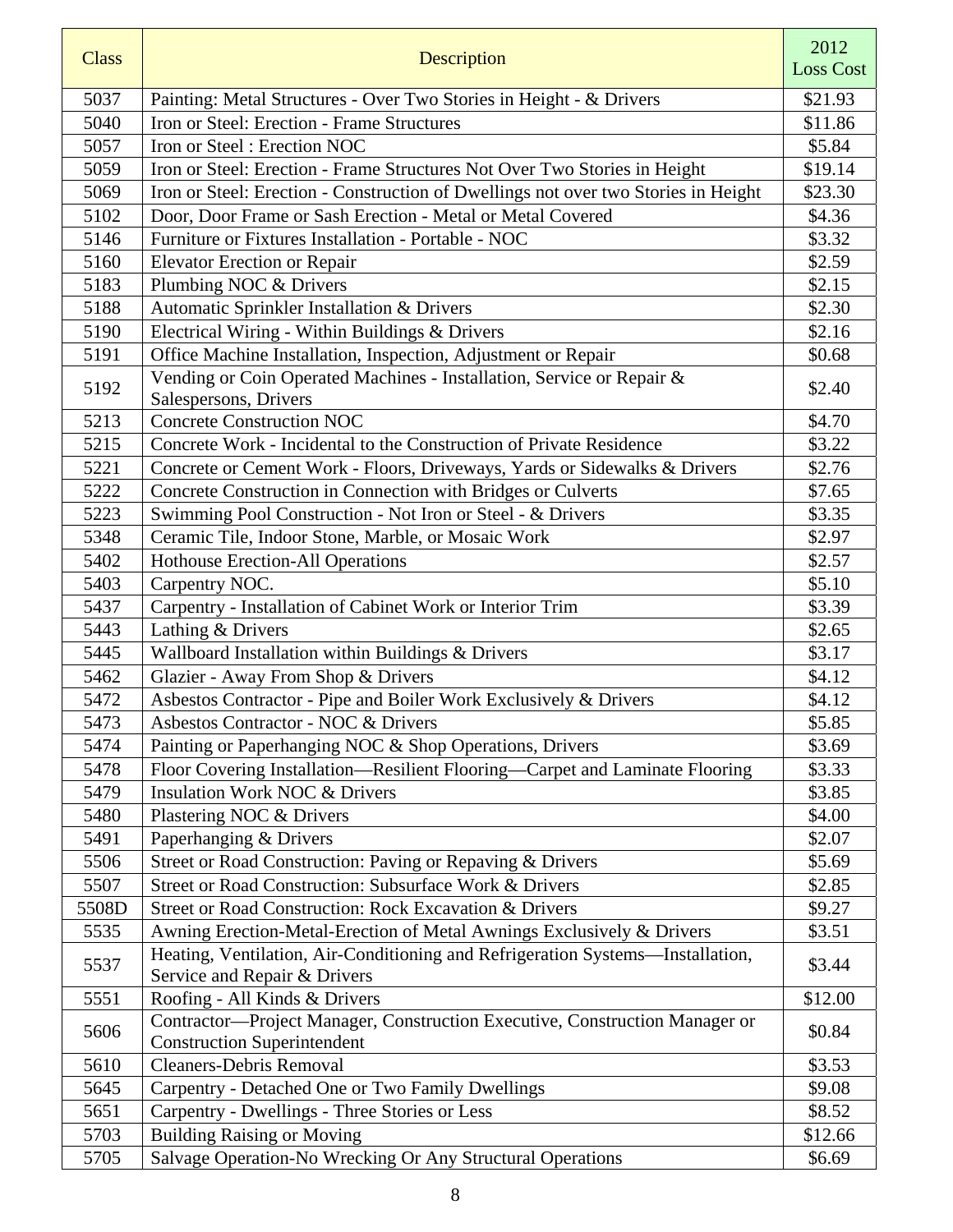| <b>Class</b> | Description                                                                                                       | 2012<br><b>Loss Cost</b> |
|--------------|-------------------------------------------------------------------------------------------------------------------|--------------------------|
| 5037         | Painting: Metal Structures - Over Two Stories in Height - & Drivers                                               | \$21.93                  |
| 5040         | Iron or Steel: Erection - Frame Structures                                                                        | \$11.86                  |
| 5057         | Iron or Steel: Erection NOC                                                                                       | \$5.84                   |
| 5059         | Iron or Steel: Erection - Frame Structures Not Over Two Stories in Height                                         | \$19.14                  |
| 5069         | Iron or Steel: Erection - Construction of Dwellings not over two Stories in Height                                | \$23.30                  |
| 5102         | Door, Door Frame or Sash Erection - Metal or Metal Covered                                                        | \$4.36                   |
| 5146         | Furniture or Fixtures Installation - Portable - NOC                                                               | \$3.32                   |
| 5160         | <b>Elevator Erection or Repair</b>                                                                                | \$2.59                   |
| 5183         | Plumbing NOC & Drivers                                                                                            | \$2.15                   |
| 5188         | Automatic Sprinkler Installation & Drivers                                                                        | \$2.30                   |
| 5190         | Electrical Wiring - Within Buildings & Drivers                                                                    | \$2.16                   |
| 5191         | Office Machine Installation, Inspection, Adjustment or Repair                                                     | \$0.68                   |
| 5192         | Vending or Coin Operated Machines - Installation, Service or Repair &<br>Salespersons, Drivers                    | \$2.40                   |
| 5213         | <b>Concrete Construction NOC</b>                                                                                  | \$4.70                   |
| 5215         | Concrete Work - Incidental to the Construction of Private Residence                                               | \$3.22                   |
| 5221         | Concrete or Cement Work - Floors, Driveways, Yards or Sidewalks & Drivers                                         | \$2.76                   |
| 5222         | Concrete Construction in Connection with Bridges or Culverts                                                      | \$7.65                   |
| 5223         | Swimming Pool Construction - Not Iron or Steel - & Drivers                                                        | \$3.35                   |
| 5348         | Ceramic Tile, Indoor Stone, Marble, or Mosaic Work                                                                | \$2.97                   |
| 5402         | <b>Hothouse Erection-All Operations</b>                                                                           | \$2.57                   |
| 5403         | Carpentry NOC.                                                                                                    | \$5.10                   |
| 5437         | Carpentry - Installation of Cabinet Work or Interior Trim                                                         | \$3.39                   |
| 5443         | Lathing & Drivers                                                                                                 | \$2.65                   |
| 5445         | Wallboard Installation within Buildings & Drivers                                                                 | \$3.17                   |
| 5462         | Glazier - Away From Shop & Drivers                                                                                | \$4.12                   |
| 5472         | Asbestos Contractor - Pipe and Boiler Work Exclusively & Drivers                                                  | \$4.12                   |
| 5473         | Asbestos Contractor - NOC & Drivers                                                                               | \$5.85                   |
| 5474         | Painting or Paperhanging NOC & Shop Operations, Drivers                                                           | \$3.69                   |
| 5478         | Floor Covering Installation-Resilient Flooring-Carpet and Laminate Flooring                                       | \$3.33                   |
| 5479         | <b>Insulation Work NOC &amp; Drivers</b>                                                                          | \$3.85                   |
| 5480         | Plastering NOC & Drivers                                                                                          | \$4.00                   |
| 5491         | Paperhanging & Drivers                                                                                            | \$2.07                   |
| 5506         | Street or Road Construction: Paving or Repaving & Drivers                                                         | \$5.69                   |
| 5507         | Street or Road Construction: Subsurface Work & Drivers                                                            | \$2.85                   |
| 5508D        | Street or Road Construction: Rock Excavation & Drivers                                                            | \$9.27                   |
| 5535         | Awning Erection-Metal-Erection of Metal Awnings Exclusively & Drivers                                             | \$3.51                   |
| 5537         | Heating, Ventilation, Air-Conditioning and Refrigeration Systems-Installation,<br>Service and Repair & Drivers    | \$3.44                   |
| 5551         | Roofing - All Kinds & Drivers                                                                                     | \$12.00                  |
| 5606         | Contractor—Project Manager, Construction Executive, Construction Manager or<br><b>Construction Superintendent</b> | \$0.84                   |
| 5610         | <b>Cleaners-Debris Removal</b>                                                                                    | \$3.53                   |
| 5645         | Carpentry - Detached One or Two Family Dwellings                                                                  | \$9.08                   |
| 5651         | Carpentry - Dwellings - Three Stories or Less                                                                     | \$8.52                   |
| 5703         | <b>Building Raising or Moving</b>                                                                                 | \$12.66                  |
| 5705         | Salvage Operation-No Wrecking Or Any Structural Operations                                                        | \$6.69                   |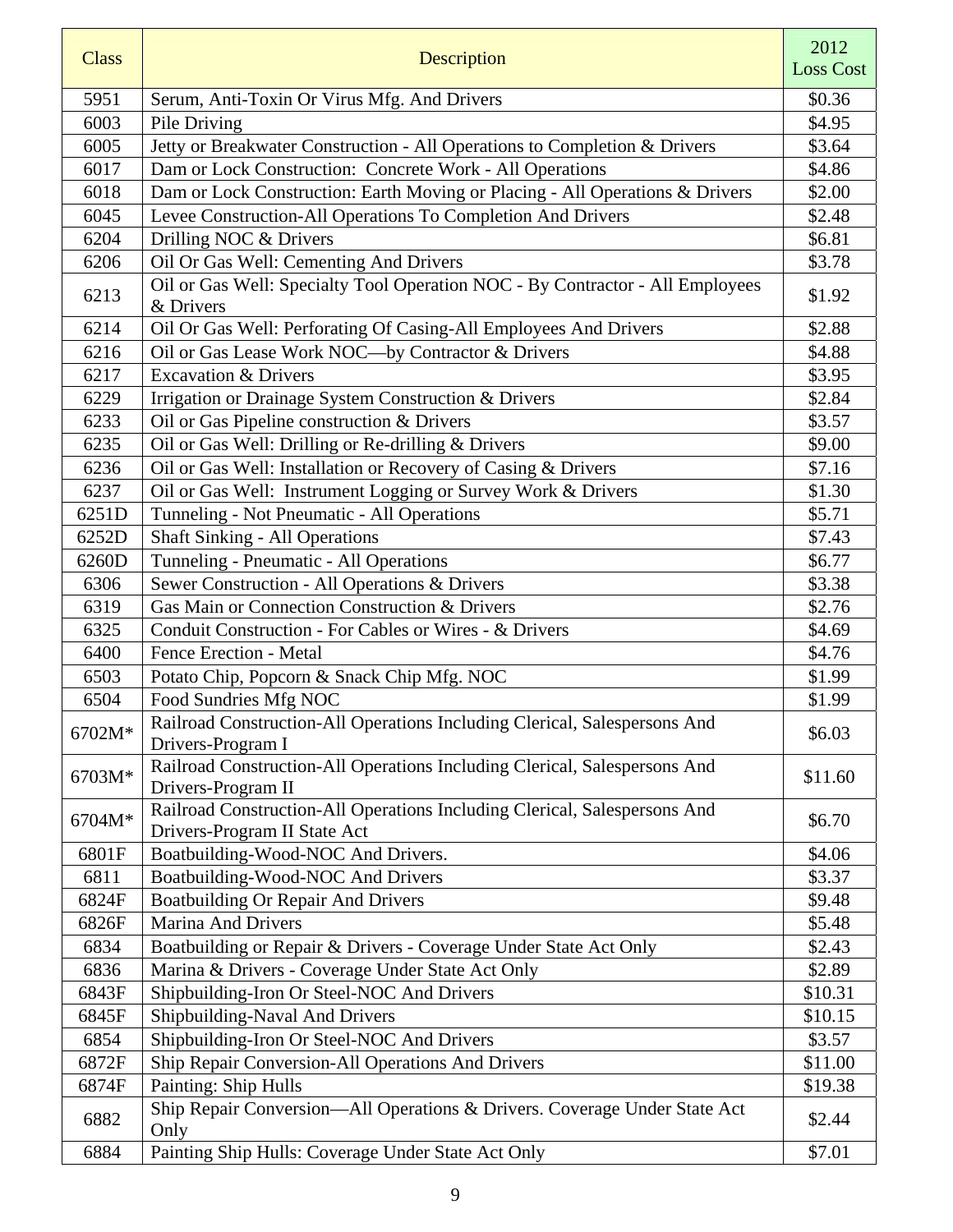| <b>Class</b> | Description                                                                                     | 2012             |
|--------------|-------------------------------------------------------------------------------------------------|------------------|
|              |                                                                                                 | <b>Loss Cost</b> |
| 5951         | Serum, Anti-Toxin Or Virus Mfg. And Drivers                                                     | \$0.36           |
| 6003         | Pile Driving                                                                                    | \$4.95           |
| 6005         | Jetty or Breakwater Construction - All Operations to Completion & Drivers                       | \$3.64           |
| 6017         | Dam or Lock Construction: Concrete Work - All Operations                                        | \$4.86           |
| 6018         | Dam or Lock Construction: Earth Moving or Placing - All Operations & Drivers                    | \$2.00           |
| 6045         | Levee Construction-All Operations To Completion And Drivers                                     | \$2.48           |
| 6204         | Drilling NOC & Drivers                                                                          | \$6.81           |
| 6206         | Oil Or Gas Well: Cementing And Drivers                                                          | \$3.78           |
| 6213         | Oil or Gas Well: Specialty Tool Operation NOC - By Contractor - All Employees<br>& Drivers      | \$1.92           |
| 6214         | Oil Or Gas Well: Perforating Of Casing-All Employees And Drivers                                | \$2.88           |
| 6216         | Oil or Gas Lease Work NOC-by Contractor & Drivers                                               | \$4.88           |
| 6217         | <b>Excavation &amp; Drivers</b>                                                                 | \$3.95           |
| 6229         | Irrigation or Drainage System Construction & Drivers                                            | \$2.84           |
| 6233         | Oil or Gas Pipeline construction & Drivers                                                      | \$3.57           |
| 6235         | Oil or Gas Well: Drilling or Re-drilling & Drivers                                              | \$9.00           |
| 6236         | Oil or Gas Well: Installation or Recovery of Casing & Drivers                                   | \$7.16           |
| 6237         | Oil or Gas Well: Instrument Logging or Survey Work & Drivers                                    | \$1.30           |
| 6251D        | Tunneling - Not Pneumatic - All Operations                                                      | \$5.71           |
| 6252D        | <b>Shaft Sinking - All Operations</b>                                                           | \$7.43           |
| 6260D        | Tunneling - Pneumatic - All Operations                                                          | \$6.77           |
| 6306         | Sewer Construction - All Operations & Drivers                                                   | \$3.38           |
| 6319         | Gas Main or Connection Construction & Drivers                                                   | \$2.76           |
| 6325         | Conduit Construction - For Cables or Wires - & Drivers                                          | \$4.69           |
| 6400         | <b>Fence Erection - Metal</b>                                                                   | \$4.76           |
| 6503         | Potato Chip, Popcorn & Snack Chip Mfg. NOC                                                      | \$1.99           |
| 6504         | Food Sundries Mfg NOC                                                                           | \$1.99           |
| 6702M*       | Railroad Construction-All Operations Including Clerical, Salespersons And<br>Drivers-Program I  | \$6.03           |
| 6703M*       | Railroad Construction-All Operations Including Clerical, Salespersons And<br>Drivers-Program II | \$11.60          |
|              | Railroad Construction-All Operations Including Clerical, Salespersons And                       |                  |
| 6704M*       | Drivers-Program II State Act                                                                    | \$6.70           |
| 6801F        | Boatbuilding-Wood-NOC And Drivers.                                                              | \$4.06           |
| 6811         | Boatbuilding-Wood-NOC And Drivers                                                               | \$3.37           |
| 6824F        | <b>Boatbuilding Or Repair And Drivers</b>                                                       | \$9.48           |
| 6826F        | Marina And Drivers                                                                              | \$5.48           |
| 6834         | Boatbuilding or Repair & Drivers - Coverage Under State Act Only                                | \$2.43           |
| 6836         | Marina & Drivers - Coverage Under State Act Only                                                | \$2.89           |
| 6843F        | Shipbuilding-Iron Or Steel-NOC And Drivers                                                      | \$10.31          |
| 6845F        | Shipbuilding-Naval And Drivers                                                                  | \$10.15          |
| 6854         | Shipbuilding-Iron Or Steel-NOC And Drivers                                                      | \$3.57           |
| 6872F        | Ship Repair Conversion-All Operations And Drivers                                               | \$11.00          |
| 6874F        | Painting: Ship Hulls                                                                            | \$19.38          |
| 6882         | Ship Repair Conversion-All Operations & Drivers. Coverage Under State Act<br>Only               | \$2.44           |
| 6884         | Painting Ship Hulls: Coverage Under State Act Only                                              | \$7.01           |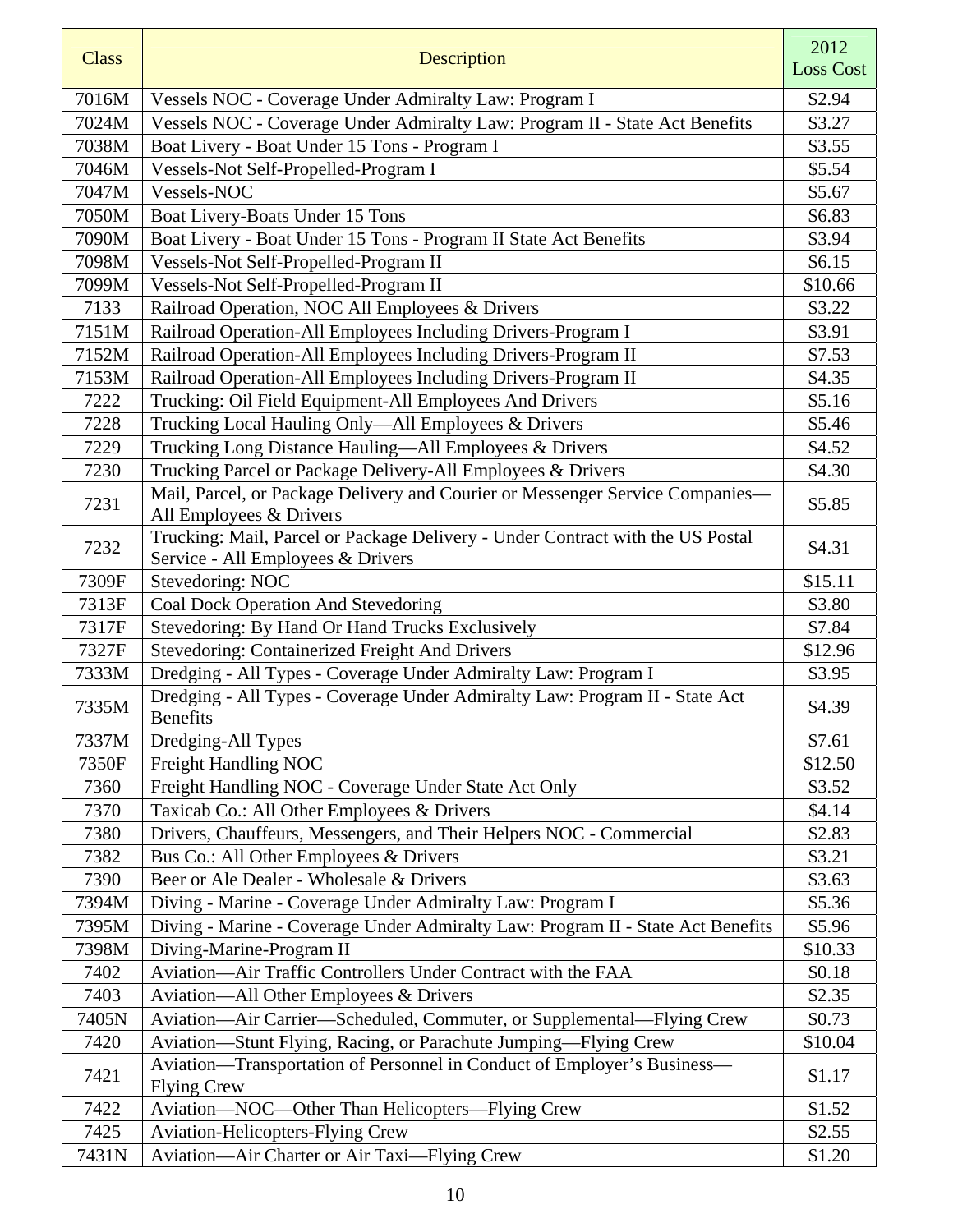| <b>Class</b> | Description                                                                                                         | 2012<br><b>Loss Cost</b> |
|--------------|---------------------------------------------------------------------------------------------------------------------|--------------------------|
| 7016M        | Vessels NOC - Coverage Under Admiralty Law: Program I                                                               | \$2.94                   |
| 7024M        | Vessels NOC - Coverage Under Admiralty Law: Program II - State Act Benefits                                         | \$3.27                   |
| 7038M        | Boat Livery - Boat Under 15 Tons - Program I                                                                        | \$3.55                   |
| 7046M        | Vessels-Not Self-Propelled-Program I                                                                                | \$5.54                   |
| 7047M        | Vessels-NOC                                                                                                         | \$5.67                   |
| 7050M        | Boat Livery-Boats Under 15 Tons                                                                                     | \$6.83                   |
| 7090M        | Boat Livery - Boat Under 15 Tons - Program II State Act Benefits                                                    | \$3.94                   |
| 7098M        | Vessels-Not Self-Propelled-Program II                                                                               | \$6.15                   |
| 7099M        | Vessels-Not Self-Propelled-Program II                                                                               | \$10.66                  |
| 7133         | Railroad Operation, NOC All Employees & Drivers                                                                     | \$3.22                   |
| 7151M        | Railroad Operation-All Employees Including Drivers-Program I                                                        | \$3.91                   |
| 7152M        | Railroad Operation-All Employees Including Drivers-Program II                                                       | \$7.53                   |
| 7153M        | Railroad Operation-All Employees Including Drivers-Program II                                                       | \$4.35                   |
| 7222         | Trucking: Oil Field Equipment-All Employees And Drivers                                                             | \$5.16                   |
| 7228         | Trucking Local Hauling Only-All Employees & Drivers                                                                 | \$5.46                   |
| 7229         | Trucking Long Distance Hauling-All Employees & Drivers                                                              | \$4.52                   |
| 7230         | Trucking Parcel or Package Delivery-All Employees & Drivers                                                         | \$4.30                   |
| 7231         | Mail, Parcel, or Package Delivery and Courier or Messenger Service Companies-                                       | \$5.85                   |
|              | All Employees & Drivers                                                                                             |                          |
| 7232         | Trucking: Mail, Parcel or Package Delivery - Under Contract with the US Postal<br>Service - All Employees & Drivers | \$4.31                   |
| 7309F        | Stevedoring: NOC                                                                                                    | \$15.11                  |
| 7313F        | <b>Coal Dock Operation And Stevedoring</b>                                                                          | \$3.80                   |
| 7317F        | Stevedoring: By Hand Or Hand Trucks Exclusively                                                                     | \$7.84                   |
| 7327F        | Stevedoring: Containerized Freight And Drivers                                                                      | \$12.96                  |
| 7333M        | Dredging - All Types - Coverage Under Admiralty Law: Program I                                                      | \$3.95                   |
| 7335M        | Dredging - All Types - Coverage Under Admiralty Law: Program II - State Act<br><b>Benefits</b>                      | \$4.39                   |
| 7337M        | Dredging-All Types                                                                                                  | \$7.61                   |
| 7350F        | Freight Handling NOC                                                                                                | \$12.50                  |
| 7360         | Freight Handling NOC - Coverage Under State Act Only                                                                | \$3.52                   |
| 7370         | Taxicab Co.: All Other Employees & Drivers                                                                          | \$4.14                   |
| 7380         | Drivers, Chauffeurs, Messengers, and Their Helpers NOC - Commercial                                                 | \$2.83                   |
| 7382         | Bus Co.: All Other Employees & Drivers                                                                              | \$3.21                   |
| 7390         | Beer or Ale Dealer - Wholesale & Drivers                                                                            | \$3.63                   |
| 7394M        | Diving - Marine - Coverage Under Admiralty Law: Program I                                                           | \$5.36                   |
| 7395M        | Diving - Marine - Coverage Under Admiralty Law: Program II - State Act Benefits                                     | \$5.96                   |
| 7398M        | Diving-Marine-Program II                                                                                            | \$10.33                  |
| 7402         | Aviation-Air Traffic Controllers Under Contract with the FAA                                                        | \$0.18                   |
| 7403         | Aviation-All Other Employees & Drivers                                                                              | \$2.35                   |
| 7405N        | Aviation—Air Carrier—Scheduled, Commuter, or Supplemental—Flying Crew                                               | \$0.73                   |
| 7420         | Aviation-Stunt Flying, Racing, or Parachute Jumping-Flying Crew                                                     | \$10.04                  |
| 7421         | Aviation-Transportation of Personnel in Conduct of Employer's Business-<br><b>Flying Crew</b>                       | \$1.17                   |
| 7422         | Aviation—NOC—Other Than Helicopters—Flying Crew                                                                     | \$1.52                   |
| 7425         | Aviation-Helicopters-Flying Crew                                                                                    | \$2.55                   |
| 7431N        | Aviation-Air Charter or Air Taxi-Flying Crew                                                                        | \$1.20                   |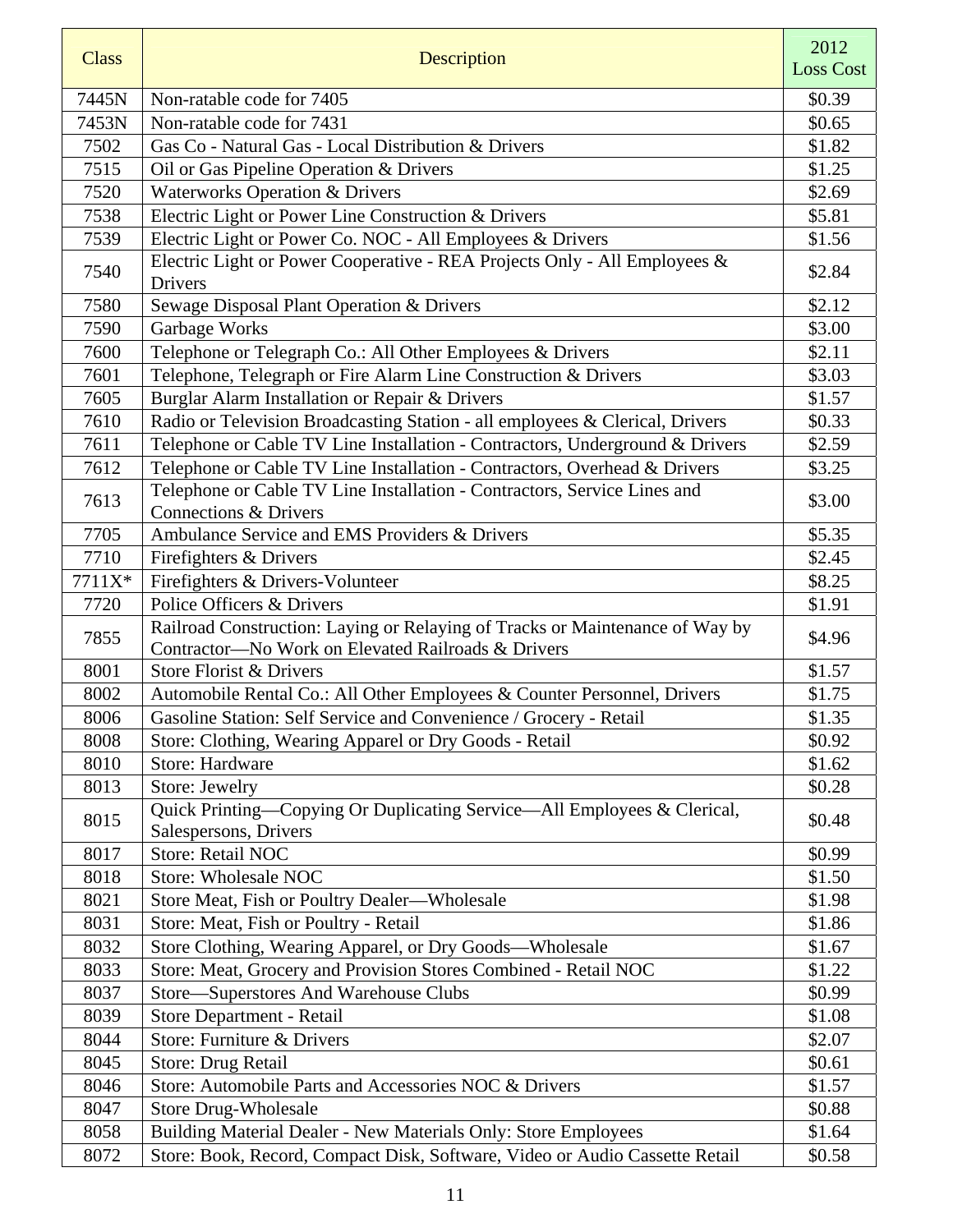| <b>Class</b> | <b>Description</b>                                                                                                                 | 2012<br><b>Loss Cost</b> |
|--------------|------------------------------------------------------------------------------------------------------------------------------------|--------------------------|
| 7445N        | Non-ratable code for 7405                                                                                                          | \$0.39                   |
| 7453N        | Non-ratable code for 7431                                                                                                          | \$0.65                   |
| 7502         | Gas Co - Natural Gas - Local Distribution & Drivers                                                                                | \$1.82                   |
| 7515         | Oil or Gas Pipeline Operation & Drivers                                                                                            | \$1.25                   |
| 7520         | <b>Waterworks Operation &amp; Drivers</b>                                                                                          | \$2.69                   |
| 7538         | Electric Light or Power Line Construction & Drivers                                                                                | \$5.81                   |
| 7539         | Electric Light or Power Co. NOC - All Employees & Drivers                                                                          | \$1.56                   |
| 7540         | Electric Light or Power Cooperative - REA Projects Only - All Employees &<br>Drivers                                               | \$2.84                   |
| 7580         | Sewage Disposal Plant Operation & Drivers                                                                                          | \$2.12                   |
| 7590         | Garbage Works                                                                                                                      | \$3.00                   |
| 7600         | Telephone or Telegraph Co.: All Other Employees & Drivers                                                                          | \$2.11                   |
| 7601         | Telephone, Telegraph or Fire Alarm Line Construction & Drivers                                                                     | \$3.03                   |
| 7605         | Burglar Alarm Installation or Repair & Drivers                                                                                     | \$1.57                   |
| 7610         | Radio or Television Broadcasting Station - all employees & Clerical, Drivers                                                       | \$0.33                   |
| 7611         | Telephone or Cable TV Line Installation - Contractors, Underground & Drivers                                                       | \$2.59                   |
| 7612         | Telephone or Cable TV Line Installation - Contractors, Overhead & Drivers                                                          | \$3.25                   |
| 7613         | Telephone or Cable TV Line Installation - Contractors, Service Lines and<br>Connections & Drivers                                  | \$3.00                   |
| 7705         | Ambulance Service and EMS Providers & Drivers                                                                                      | \$5.35                   |
| 7710         | Firefighters & Drivers                                                                                                             | \$2.45                   |
| 7711X*       | Firefighters & Drivers-Volunteer                                                                                                   | \$8.25                   |
| 7720         | Police Officers & Drivers                                                                                                          | \$1.91                   |
| 7855         | Railroad Construction: Laying or Relaying of Tracks or Maintenance of Way by<br>Contractor-No Work on Elevated Railroads & Drivers | \$4.96                   |
| 8001         | Store Florist & Drivers                                                                                                            | \$1.57                   |
| 8002         | Automobile Rental Co.: All Other Employees & Counter Personnel, Drivers                                                            | \$1.75                   |
| 8006         | Gasoline Station: Self Service and Convenience / Grocery - Retail                                                                  | \$1.35                   |
| 8008         | Store: Clothing, Wearing Apparel or Dry Goods - Retail                                                                             | \$0.92                   |
| 8010         | Store: Hardware                                                                                                                    | \$1.62                   |
| 8013         | Store: Jewelry                                                                                                                     | \$0.28                   |
| 8015         | Quick Printing—Copying Or Duplicating Service—All Employees & Clerical,<br>Salespersons, Drivers                                   | \$0.48                   |
| 8017         | <b>Store: Retail NOC</b>                                                                                                           | \$0.99                   |
| 8018         | <b>Store: Wholesale NOC</b>                                                                                                        | \$1.50                   |
| 8021         | Store Meat, Fish or Poultry Dealer-Wholesale                                                                                       | \$1.98                   |
| 8031         | Store: Meat, Fish or Poultry - Retail                                                                                              | \$1.86                   |
| 8032         | Store Clothing, Wearing Apparel, or Dry Goods—Wholesale                                                                            | \$1.67                   |
| 8033         | Store: Meat, Grocery and Provision Stores Combined - Retail NOC                                                                    | \$1.22                   |
| 8037         | Store-Superstores And Warehouse Clubs                                                                                              | \$0.99                   |
| 8039         | Store Department - Retail                                                                                                          | \$1.08                   |
| 8044         | Store: Furniture & Drivers                                                                                                         | \$2.07                   |
| 8045         | Store: Drug Retail                                                                                                                 | \$0.61                   |
| 8046         | Store: Automobile Parts and Accessories NOC & Drivers                                                                              | \$1.57                   |
| 8047         | <b>Store Drug-Wholesale</b>                                                                                                        | \$0.88                   |
| 8058         | Building Material Dealer - New Materials Only: Store Employees                                                                     | \$1.64                   |
| 8072         | Store: Book, Record, Compact Disk, Software, Video or Audio Cassette Retail                                                        | \$0.58                   |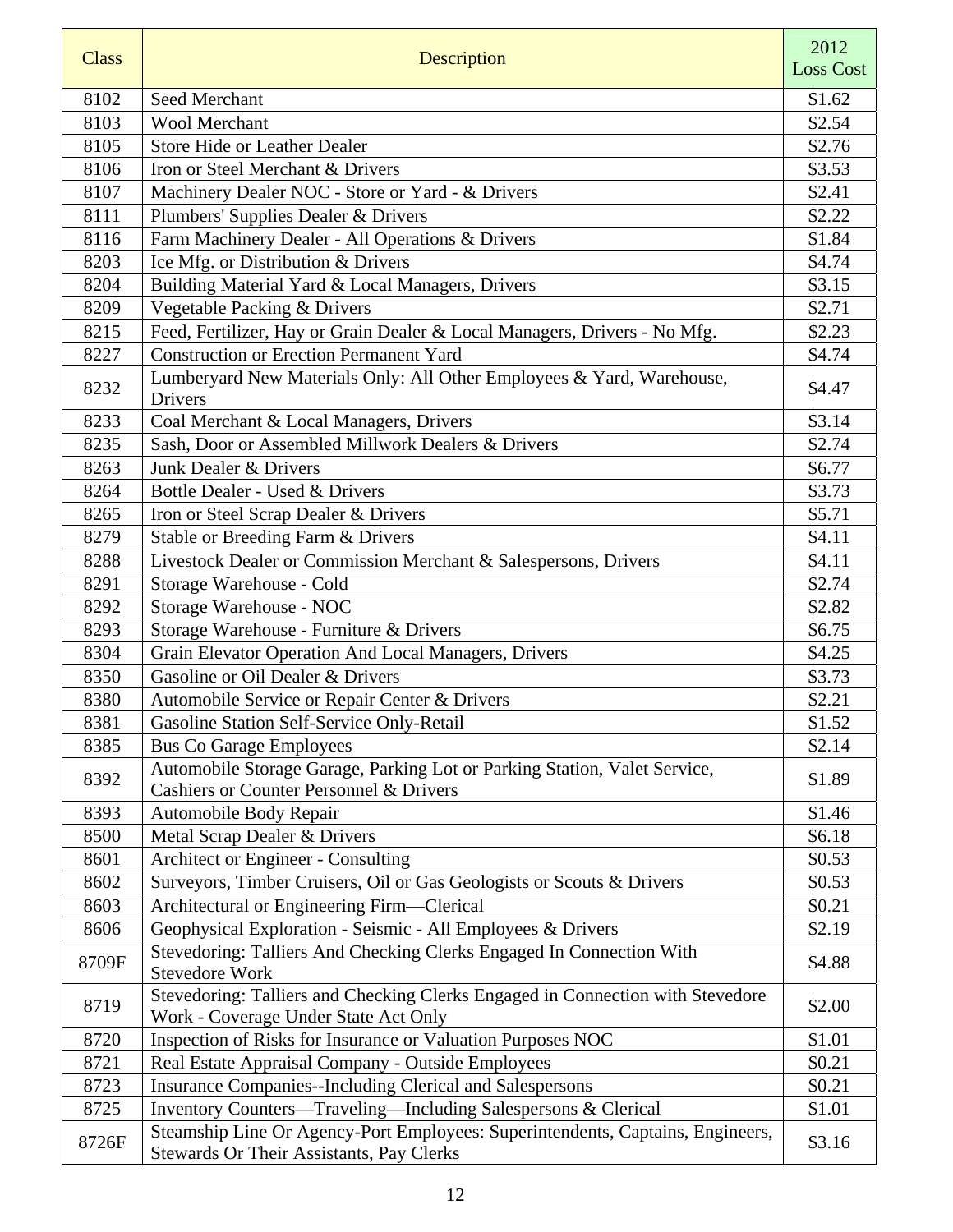| <b>Class</b> | Description                                                                                                                     | 2012<br><b>Loss Cost</b> |
|--------------|---------------------------------------------------------------------------------------------------------------------------------|--------------------------|
| 8102         | Seed Merchant                                                                                                                   | \$1.62                   |
| 8103         | <b>Wool Merchant</b>                                                                                                            | \$2.54                   |
| 8105         | <b>Store Hide or Leather Dealer</b>                                                                                             | \$2.76                   |
| 8106         | Iron or Steel Merchant & Drivers                                                                                                | \$3.53                   |
| 8107         | Machinery Dealer NOC - Store or Yard - & Drivers                                                                                | \$2.41                   |
| 8111         | Plumbers' Supplies Dealer & Drivers                                                                                             | \$2.22                   |
| 8116         | Farm Machinery Dealer - All Operations & Drivers                                                                                | \$1.84                   |
| 8203         | Ice Mfg. or Distribution & Drivers                                                                                              | \$4.74                   |
| 8204         | Building Material Yard & Local Managers, Drivers                                                                                | \$3.15                   |
| 8209         | Vegetable Packing & Drivers                                                                                                     | \$2.71                   |
| 8215         | Feed, Fertilizer, Hay or Grain Dealer & Local Managers, Drivers - No Mfg.                                                       | \$2.23                   |
| 8227         | <b>Construction or Erection Permanent Yard</b>                                                                                  | \$4.74                   |
| 8232         | Lumberyard New Materials Only: All Other Employees & Yard, Warehouse,<br>Drivers                                                | \$4.47                   |
| 8233         | Coal Merchant & Local Managers, Drivers                                                                                         | \$3.14                   |
| 8235         | Sash, Door or Assembled Millwork Dealers & Drivers                                                                              | \$2.74                   |
| 8263         | Junk Dealer & Drivers                                                                                                           | \$6.77                   |
| 8264         | Bottle Dealer - Used & Drivers                                                                                                  | \$3.73                   |
| 8265         | Iron or Steel Scrap Dealer & Drivers                                                                                            | \$5.71                   |
| 8279         | Stable or Breeding Farm & Drivers                                                                                               | \$4.11                   |
| 8288         | Livestock Dealer or Commission Merchant & Salespersons, Drivers                                                                 | \$4.11                   |
| 8291         | Storage Warehouse - Cold                                                                                                        | \$2.74                   |
| 8292         | Storage Warehouse - NOC                                                                                                         | \$2.82                   |
| 8293         | Storage Warehouse - Furniture & Drivers                                                                                         | \$6.75                   |
| 8304         | Grain Elevator Operation And Local Managers, Drivers                                                                            | \$4.25                   |
| 8350         | Gasoline or Oil Dealer & Drivers                                                                                                | \$3.73                   |
| 8380         | Automobile Service or Repair Center & Drivers                                                                                   | \$2.21                   |
| 8381         | Gasoline Station Self-Service Only-Retail                                                                                       | \$1.52                   |
| 8385         | <b>Bus Co Garage Employees</b>                                                                                                  | \$2.14                   |
| 8392         | Automobile Storage Garage, Parking Lot or Parking Station, Valet Service,<br><b>Cashiers or Counter Personnel &amp; Drivers</b> | \$1.89                   |
| 8393         | Automobile Body Repair                                                                                                          | \$1.46                   |
| 8500         | Metal Scrap Dealer & Drivers                                                                                                    | \$6.18                   |
| 8601         | Architect or Engineer - Consulting                                                                                              | \$0.53                   |
| 8602         | Surveyors, Timber Cruisers, Oil or Gas Geologists or Scouts & Drivers                                                           | \$0.53                   |
| 8603         | Architectural or Engineering Firm-Clerical                                                                                      | \$0.21                   |
| 8606         | Geophysical Exploration - Seismic - All Employees & Drivers                                                                     | \$2.19                   |
| 8709F        | Stevedoring: Talliers And Checking Clerks Engaged In Connection With<br><b>Stevedore Work</b>                                   | \$4.88                   |
| 8719         | Stevedoring: Talliers and Checking Clerks Engaged in Connection with Stevedore<br>Work - Coverage Under State Act Only          | \$2.00                   |
| 8720         | Inspection of Risks for Insurance or Valuation Purposes NOC                                                                     | \$1.01                   |
| 8721         | Real Estate Appraisal Company - Outside Employees                                                                               | \$0.21                   |
| 8723         | Insurance Companies--Including Clerical and Salespersons                                                                        | \$0.21                   |
| 8725         | Inventory Counters-Traveling-Including Salespersons & Clerical                                                                  | \$1.01                   |
| 8726F        | Steamship Line Or Agency-Port Employees: Superintendents, Captains, Engineers,<br>Stewards Or Their Assistants, Pay Clerks      | \$3.16                   |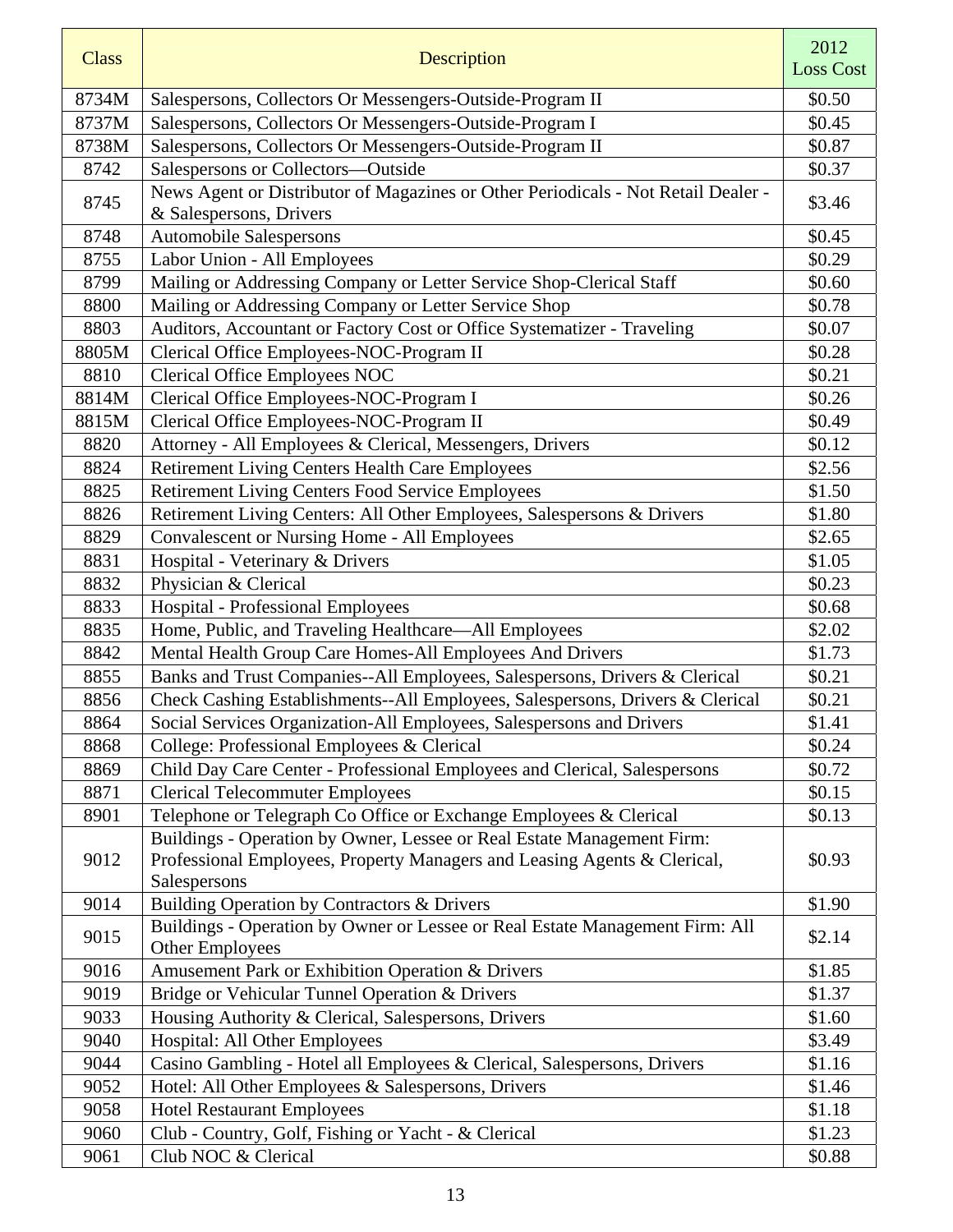| <b>Class</b> | Description                                                                       | 2012<br><b>Loss Cost</b> |
|--------------|-----------------------------------------------------------------------------------|--------------------------|
| 8734M        | Salespersons, Collectors Or Messengers-Outside-Program II                         | \$0.50                   |
| 8737M        | Salespersons, Collectors Or Messengers-Outside-Program I                          | \$0.45                   |
| 8738M        | Salespersons, Collectors Or Messengers-Outside-Program II                         | \$0.87                   |
| 8742         | Salespersons or Collectors-Outside                                                | \$0.37                   |
| 8745         | News Agent or Distributor of Magazines or Other Periodicals - Not Retail Dealer - |                          |
|              | & Salespersons, Drivers                                                           | \$3.46                   |
| 8748         | <b>Automobile Salespersons</b>                                                    | \$0.45                   |
| 8755         | Labor Union - All Employees                                                       | \$0.29                   |
| 8799         | Mailing or Addressing Company or Letter Service Shop-Clerical Staff               | \$0.60                   |
| 8800         | Mailing or Addressing Company or Letter Service Shop                              | \$0.78                   |
| 8803         | Auditors, Accountant or Factory Cost or Office Systematizer - Traveling           | \$0.07                   |
| 8805M        | Clerical Office Employees-NOC-Program II                                          | \$0.28                   |
| 8810         | <b>Clerical Office Employees NOC</b>                                              | \$0.21                   |
| 8814M        | Clerical Office Employees-NOC-Program I                                           | \$0.26                   |
| 8815M        | Clerical Office Employees-NOC-Program II                                          | \$0.49                   |
| 8820         | Attorney - All Employees & Clerical, Messengers, Drivers                          | \$0.12                   |
| 8824         | <b>Retirement Living Centers Health Care Employees</b>                            | \$2.56                   |
| 8825         | Retirement Living Centers Food Service Employees                                  | \$1.50                   |
| 8826         | Retirement Living Centers: All Other Employees, Salespersons & Drivers            | \$1.80                   |
| 8829         | <b>Convalescent or Nursing Home - All Employees</b>                               | \$2.65                   |
| 8831         | Hospital - Veterinary & Drivers                                                   | \$1.05                   |
| 8832         | Physician & Clerical                                                              | \$0.23                   |
| 8833         | Hospital - Professional Employees                                                 | \$0.68                   |
| 8835         | Home, Public, and Traveling Healthcare-All Employees                              | \$2.02                   |
| 8842         | Mental Health Group Care Homes-All Employees And Drivers                          | \$1.73                   |
| 8855         | Banks and Trust Companies--All Employees, Salespersons, Drivers & Clerical        | \$0.21                   |
| 8856         | Check Cashing Establishments--All Employees, Salespersons, Drivers & Clerical     | \$0.21                   |
| 8864         | Social Services Organization-All Employees, Salespersons and Drivers              | \$1.41                   |
| 8868         | College: Professional Employees & Clerical                                        | \$0.24                   |
| 8869         | Child Day Care Center - Professional Employees and Clerical, Salespersons         | \$0.72                   |
| 8871         | <b>Clerical Telecommuter Employees</b>                                            | \$0.15                   |
| 8901         | Telephone or Telegraph Co Office or Exchange Employees & Clerical                 | \$0.13                   |
| 9012         | Buildings - Operation by Owner, Lessee or Real Estate Management Firm:            |                          |
|              | Professional Employees, Property Managers and Leasing Agents & Clerical,          | \$0.93                   |
|              | Salespersons                                                                      |                          |
| 9014         | Building Operation by Contractors & Drivers                                       | \$1.90                   |
| 9015         | Buildings - Operation by Owner or Lessee or Real Estate Management Firm: All      | \$2.14                   |
|              | <b>Other Employees</b>                                                            |                          |
| 9016         | Amusement Park or Exhibition Operation & Drivers                                  | \$1.85                   |
| 9019         | Bridge or Vehicular Tunnel Operation & Drivers                                    | \$1.37                   |
| 9033         | Housing Authority & Clerical, Salespersons, Drivers                               | \$1.60                   |
| 9040         | Hospital: All Other Employees                                                     | \$3.49                   |
| 9044         | Casino Gambling - Hotel all Employees & Clerical, Salespersons, Drivers           | \$1.16                   |
| 9052         | Hotel: All Other Employees & Salespersons, Drivers                                | \$1.46                   |
| 9058         | <b>Hotel Restaurant Employees</b>                                                 | \$1.18                   |
| 9060         | Club - Country, Golf, Fishing or Yacht - & Clerical                               | \$1.23                   |
| 9061         | Club NOC & Clerical                                                               | \$0.88                   |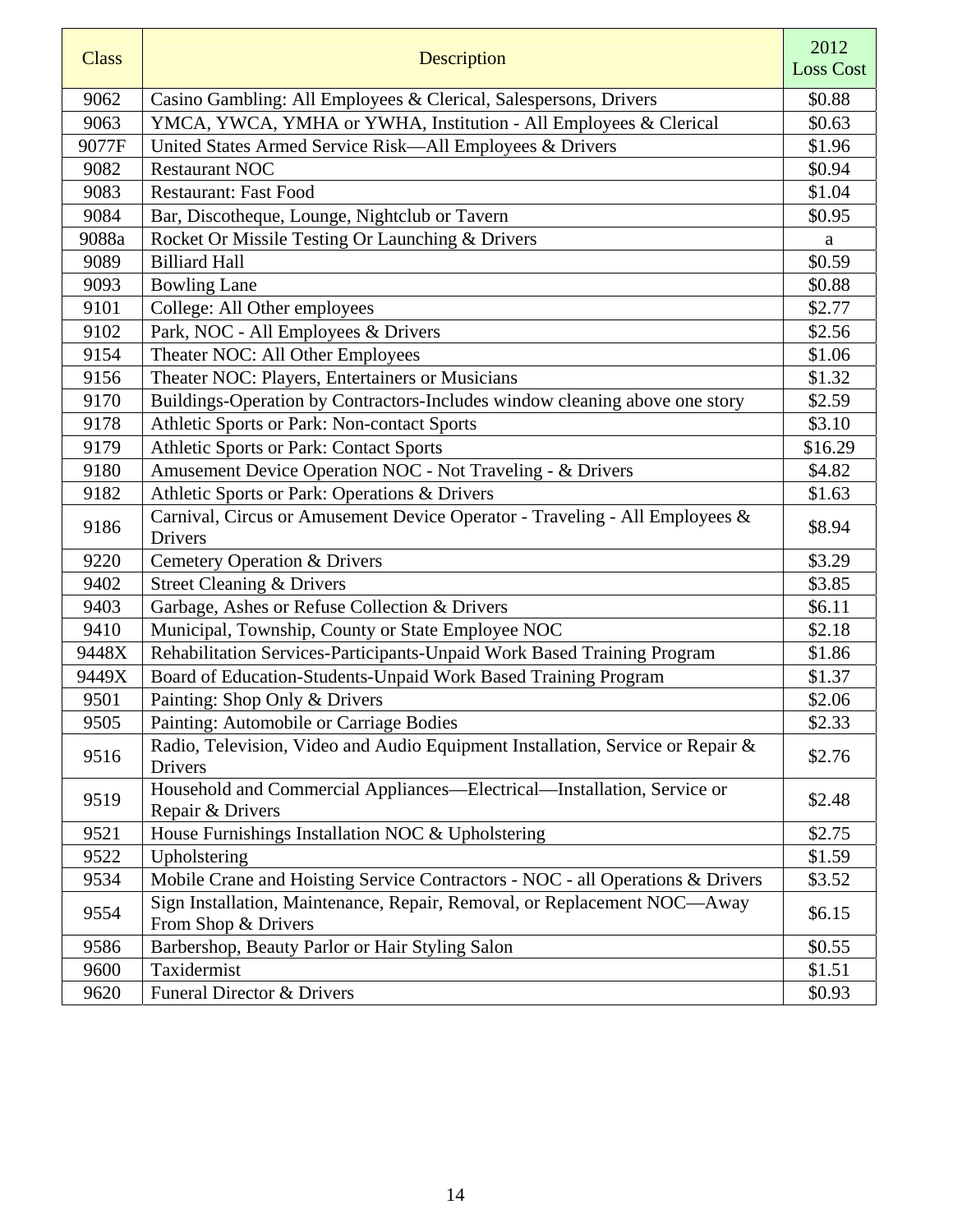| <b>Class</b> | Description                                                                                     | 2012<br><b>Loss Cost</b> |
|--------------|-------------------------------------------------------------------------------------------------|--------------------------|
| 9062         | Casino Gambling: All Employees & Clerical, Salespersons, Drivers                                | \$0.88                   |
| 9063         | YMCA, YWCA, YMHA or YWHA, Institution - All Employees & Clerical                                | \$0.63                   |
| 9077F        | United States Armed Service Risk-All Employees & Drivers                                        | \$1.96                   |
| 9082         | <b>Restaurant NOC</b>                                                                           | \$0.94                   |
| 9083         | <b>Restaurant: Fast Food</b>                                                                    | \$1.04                   |
| 9084         | Bar, Discotheque, Lounge, Nightclub or Tavern                                                   | \$0.95                   |
| 9088a        | Rocket Or Missile Testing Or Launching & Drivers                                                | a                        |
| 9089         | <b>Billiard Hall</b>                                                                            | \$0.59                   |
| 9093         | <b>Bowling Lane</b>                                                                             | \$0.88                   |
| 9101         | College: All Other employees                                                                    | \$2.77                   |
| 9102         | Park, NOC - All Employees & Drivers                                                             | \$2.56                   |
| 9154         | Theater NOC: All Other Employees                                                                | \$1.06                   |
| 9156         | Theater NOC: Players, Entertainers or Musicians                                                 | \$1.32                   |
| 9170         | Buildings-Operation by Contractors-Includes window cleaning above one story                     | \$2.59                   |
| 9178         | Athletic Sports or Park: Non-contact Sports                                                     | \$3.10                   |
| 9179         | Athletic Sports or Park: Contact Sports                                                         | \$16.29                  |
| 9180         | Amusement Device Operation NOC - Not Traveling - & Drivers                                      | \$4.82                   |
| 9182         | Athletic Sports or Park: Operations & Drivers                                                   | \$1.63                   |
| 9186         | Carnival, Circus or Amusement Device Operator - Traveling - All Employees &<br>Drivers          | \$8.94                   |
| 9220         | <b>Cemetery Operation &amp; Drivers</b>                                                         | \$3.29                   |
| 9402         | <b>Street Cleaning &amp; Drivers</b>                                                            | \$3.85                   |
| 9403         | Garbage, Ashes or Refuse Collection & Drivers                                                   | \$6.11                   |
| 9410         | Municipal, Township, County or State Employee NOC                                               | \$2.18                   |
| 9448X        | Rehabilitation Services-Participants-Unpaid Work Based Training Program                         | \$1.86                   |
| 9449X        | Board of Education-Students-Unpaid Work Based Training Program                                  | \$1.37                   |
| 9501         | Painting: Shop Only & Drivers                                                                   | \$2.06                   |
| 9505         | Painting: Automobile or Carriage Bodies                                                         | \$2.33                   |
| 9516         | Radio, Television, Video and Audio Equipment Installation, Service or Repair &<br>Drivers       | \$2.76                   |
| 9519         | Household and Commercial Appliances—Electrical—Installation, Service or<br>Repair & Drivers     | \$2.48                   |
| 9521         | House Furnishings Installation NOC & Upholstering                                               | \$2.75                   |
| 9522         | Upholstering                                                                                    | \$1.59                   |
| 9534         | Mobile Crane and Hoisting Service Contractors - NOC - all Operations & Drivers                  | \$3.52                   |
| 9554         | Sign Installation, Maintenance, Repair, Removal, or Replacement NOC-Away<br>From Shop & Drivers | \$6.15                   |
| 9586         | Barbershop, Beauty Parlor or Hair Styling Salon                                                 | \$0.55                   |
| 9600         | Taxidermist                                                                                     | \$1.51                   |
| 9620         | Funeral Director & Drivers                                                                      | \$0.93                   |